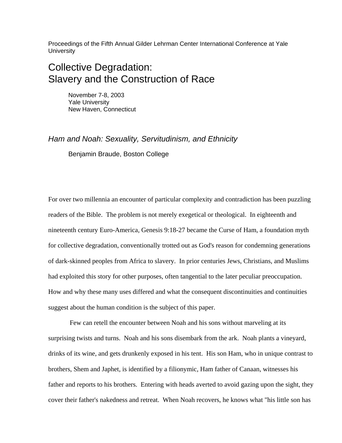Proceedings of the Fifth Annual Gilder Lehrman Center International Conference at Yale **University** 

# Collective Degradation: Slavery and the Construction of Race

November 7-8, 2003 Yale University New Haven, Connecticut

*Ham and Noah: Sexuality, Servitudinism, and Ethnicity* 

Benjamin Braude, Boston College

For over two millennia an encounter of particular complexity and contradiction has been puzzling readers of the Bible. The problem is not merely exegetical or theological. In eighteenth and nineteenth century Euro-America, Genesis 9:18-27 became the Curse of Ham, a foundation myth for collective degradation, conventionally trotted out as God's reason for condemning generations of dark-skinned peoples from Africa to slavery. In prior centuries Jews, Christians, and Muslims had exploited this story for other purposes, often tangential to the later peculiar preoccupation. How and why these many uses differed and what the consequent discontinuities and continuities suggest about the human condition is the subject of this paper.

 Few can retell the encounter between Noah and his sons without marveling at its surprising twists and turns. Noah and his sons disembark from the ark. Noah plants a vineyard, drinks of its wine, and gets drunkenly exposed in his tent. His son Ham, who in unique contrast to brothers, Shem and Japhet, is identified by a filionymic, Ham father of Canaan, witnesses his father and reports to his brothers. Entering with heads averted to avoid gazing upon the sight, they cover their father's nakedness and retreat. When Noah recovers, he knows what "his little son has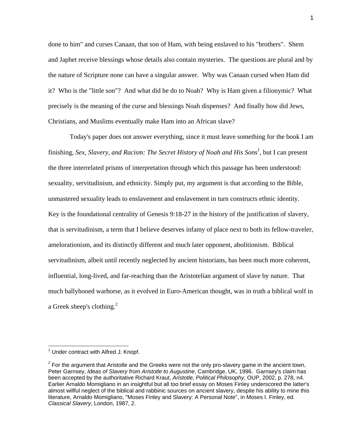done to him" and curses Canaan, that son of Ham, with being enslaved to his "brothers". Shem and Japhet receive blessings whose details also contain mysteries. The questions are plural and by the nature of Scripture none can have a singular answer. Why was Canaan cursed when Ham did it? Who is the "little son"? And what did he do to Noah? Why is Ham given a filionymic? What precisely is the meaning of the curse and blessings Noah dispenses? And finally how did Jews, Christians, and Muslims eventually make Ham into an African slave?

 Today's paper does not answer everything, since it must leave something for the book I am finishing, *Sex, Slavery, and Racism: The Secret History of Noah and His Sons<sup>1</sup>, but I can present* the three interrelated prisms of interpretation through which this passage has been understood: sexuality, servitudinism, and ethnicity. Simply put, my argument is that according to the Bible, unmastered sexuality leads to enslavement and enslavement in turn constructs ethnic identity. Key is the foundational centrality of Genesis 9:18-27 in the history of the justification of slavery, that is servitudinism, a term that I believe deserves infamy of place next to both its fellow-traveler, amelorationism, and its distinctly different and much later opponent, abolitionism. Biblical servitudinism, albeit until recently neglected by ancient historians, has been much more coherent, influential, long-lived, and far-reaching than the Aristotelian argument of slave by nature. That much ballyhooed warhorse, as it evolved in Euro-American thought, was in truth a biblical wolf in a Greek sheep's clothing. $^{2}$  $^{2}$  $^{2}$ 

 $\overline{a}$ 

<span id="page-1-0"></span><sup>&</sup>lt;sup>1</sup> Under contract with Alfred J. Knopf.

<span id="page-1-1"></span> $2$  For the argument that Aristotle and the Greeks were not the only pro-slavery game in the ancient town, Peter Garnsey, *Ideas of Slavery from Aristotle to Augustine*, Cambridge, UK, 1996. Garnsey's claim has been accepted by the authoritative Richard Kraut, *Aristotle, Political Philosophy*, OUP, 2002, p. 278, n4. Earlier Arnaldo Momigliano in an insightful but all too brief essay on Moses Finley underscored the latter's almost willful neglect of the biblical and rabbinic sources on ancient slavery, despite his ability to mine this literature, Arnaldo Momigliano, "Moses Finley and Slavery: A Personal Note", in Moses I. Finley, ed. *Classical Slavery*, London, 1987, 2.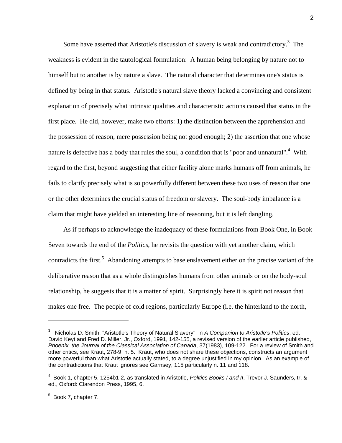Some have asserted that Aristotle's discussion of slavery is weak and contradictory. $3$  The weakness is evident in the tautological formulation: A human being belonging by nature not to himself but to another is by nature a slave. The natural character that determines one's status is defined by being in that status. Aristotle's natural slave theory lacked a convincing and consistent explanation of precisely what intrinsic qualities and characteristic actions caused that status in the first place. He did, however, make two efforts: 1) the distinction between the apprehension and the possession of reason, mere possession being not good enough; 2) the assertion that one whose nature is defective has a body that rules the soul, a condition that is "poor and unnatural".<sup>[4](#page-2-1)</sup> With regard to the first, beyond suggesting that either facility alone marks humans off from animals, he fails to clarify precisely what is so powerfully different between these two uses of reason that one or the other determines the crucial status of freedom or slavery. The soul-body imbalance is a claim that might have yielded an interesting line of reasoning, but it is left dangling.

 As if perhaps to acknowledge the inadequacy of these formulations from Book One, in Book Seven towards the end of the *Politics*, he revisits the question with yet another claim, which contradicts the first.<sup>5</sup> Abandoning attempts to base enslavement either on the precise variant of the deliberative reason that as a whole distinguishes humans from other animals or on the body-soul relationship, he suggests that it is a matter of spirit. Surprisingly here it is spirit not reason that makes one free. The people of cold regions, particularly Europe (i.e. the hinterland to the north,

<span id="page-2-0"></span><sup>3</sup> Nicholas D. Smith, "Aristotle's Theory of Natural Slavery", in *A Companion to Aristotle's Politics*, ed. David Keyt and Fred D. Miller, Jr., Oxford, 1991, 142-155, a revised version of the earlier article published, *Phoenix, the Journal of the Classical Association of Canada*, 37(1983), 109-122. For a review of Smith and other critics, see Kraut, 278-9, n. 5. Kraut, who does not share these objections, constructs an argument more powerful than what Aristotle actually stated, to a degree unjustified in my opinion. As an example of the contradictions that Kraut ignores see Garnsey, 115 particularly n. 11 and 118.

<span id="page-2-1"></span><sup>4</sup> Book 1, chapter 5, 1254b1-2, as translated in Aristotle, *Politics Books I and II*, Trevor J. Saunders, tr. & ed., Oxford: Clarendon Press, 1995, 6.

<span id="page-2-2"></span> $5$  Book 7, chapter 7.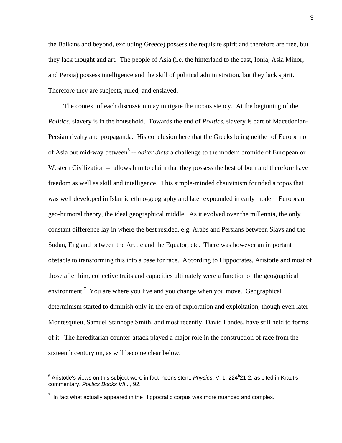the Balkans and beyond, excluding Greece) possess the requisite spirit and therefore are free, but they lack thought and art. The people of Asia (i.e. the hinterland to the east, Ionia, Asia Minor, and Persia) possess intelligence and the skill of political administration, but they lack spirit. Therefore they are subjects, ruled, and enslaved.

 The context of each discussion may mitigate the inconsistency. At the beginning of the *Politics*, slavery is in the household. Towards the end of *Politics*, slavery is part of Macedonian-Persian rivalry and propaganda. His conclusion here that the Greeks being neither of Europe nor of Asia but mid-way between<sup>6</sup> -- *obiter dicta* a challenge to the modern bromide of European or Western Civilization -- allows him to claim that they possess the best of both and therefore have freedom as well as skill and intelligence. This simple-minded chauvinism founded a topos that was well developed in Islamic ethno-geography and later expounded in early modern European geo-humoral theory, the ideal geographical middle. As it evolved over the millennia, the only constant difference lay in where the best resided, e.g. Arabs and Persians between Slavs and the Sudan, England between the Arctic and the Equator, etc. There was however an important obstacle to transforming this into a base for race. According to Hippocrates, Aristotle and most of those after him, collective traits and capacities ultimately were a function of the geographical environment.<sup>7</sup> You are where you live and you change when you move. Geographical determinism started to diminish only in the era of exploration and exploitation, though even later Montesquieu, Samuel Stanhope Smith, and most recently, David Landes, have still held to forms of it. The hereditarian counter-attack played a major role in the construction of race from the sixteenth century on, as will become clear below.

<span id="page-3-0"></span><sup>&</sup>lt;sup>6</sup> Aristotle's views on this subject were in fact inconsistent, *Physics*, V. 1, 224<sup>b</sup>21-2, as cited in Kraut's commentary, *Politics Books VII*..., 92.

<span id="page-3-1"></span> $7$  In fact what actually appeared in the Hippocratic corpus was more nuanced and complex.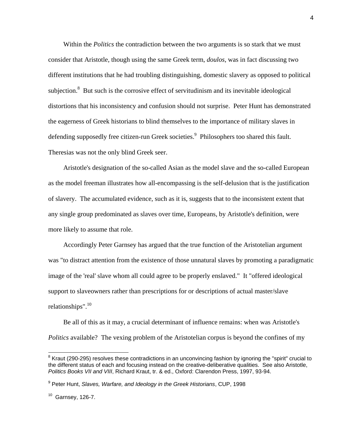Within the *Politics* the contradiction between the two arguments is so stark that we must consider that Aristotle, though using the same Greek term, *doulos*, was in fact discussing two different institutions that he had troubling distinguishing, domestic slavery as opposed to political subjection.<sup>[8](#page-4-0)</sup> But such is the corrosive effect of servitudinism and its inevitable ideological distortions that his inconsistency and confusion should not surprise. Peter Hunt has demonstrated the eagerness of Greek historians to blind themselves to the importance of military slaves in defending supposedly free citizen-run Greek societies.<sup>9</sup> Philosophers too shared this fault. Theresias was not the only blind Greek seer.

 Aristotle's designation of the so-called Asian as the model slave and the so-called European as the model freeman illustrates how all-encompassing is the self-delusion that is the justification of slavery. The accumulated evidence, such as it is, suggests that to the inconsistent extent that any single group predominated as slaves over time, Europeans, by Aristotle's definition, were more likely to assume that role.

 Accordingly Peter Garnsey has argued that the true function of the Aristotelian argument was "to distract attention from the existence of those unnatural slaves by promoting a paradigmatic image of the 'real' slave whom all could agree to be properly enslaved." It "offered ideological support to slaveowners rather than prescriptions for or descriptions of actual master/slave relationships". $10$ 

 Be all of this as it may, a crucial determinant of influence remains: when was Aristotle's *Politics* available? The vexing problem of the Aristotelian corpus is beyond the confines of my

<span id="page-4-0"></span><sup>&</sup>lt;sup>8</sup> Kraut (290-295) resolves these contradictions in an unconvincing fashion by ignoring the "spirit" crucial to the different status of each and focusing instead on the creative-deliberative qualities. See also Aristotle, *Politics Books VII and VIII*, Richard Kraut, tr. & ed., Oxford: Clarendon Press, 1997, 93-94.

<span id="page-4-1"></span><sup>9</sup> Peter Hunt, *Slaves, Warfare, and Ideology in the Greek Historians*, CUP, 1998

<span id="page-4-2"></span> $10$  Garnsey, 126-7.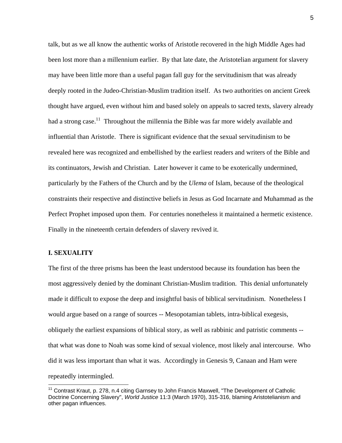talk, but as we all know the authentic works of Aristotle recovered in the high Middle Ages had been lost more than a millennium earlier. By that late date, the Aristotelian argument for slavery may have been little more than a useful pagan fall guy for the servitudinism that was already deeply rooted in the Judeo-Christian-Muslim tradition itself. As two authorities on ancient Greek thought have argued, even without him and based solely on appeals to sacred texts, slavery already had a strong case.<sup>11</sup> Throughout the millennia the Bible was far more widely available and influential than Aristotle. There is significant evidence that the sexual servitudinism to be revealed here was recognized and embellished by the earliest readers and writers of the Bible and its continuators, Jewish and Christian. Later however it came to be exoterically undermined, particularly by the Fathers of the Church and by the *Ulema* of Islam, because of the theological constraints their respective and distinctive beliefs in Jesus as God Incarnate and Muhammad as the Perfect Prophet imposed upon them. For centuries nonetheless it maintained a hermetic existence. Finally in the nineteenth certain defenders of slavery revived it.

## **I. SEXUALITY**

 $\overline{a}$ 

The first of the three prisms has been the least understood because its foundation has been the most aggressively denied by the dominant Christian-Muslim tradition. This denial unfortunately made it difficult to expose the deep and insightful basis of biblical servitudinism. Nonetheless I would argue based on a range of sources -- Mesopotamian tablets, intra-biblical exegesis, obliquely the earliest expansions of biblical story, as well as rabbinic and patristic comments - that what was done to Noah was some kind of sexual violence, most likely anal intercourse. Who did it was less important than what it was. Accordingly in Genesis 9, Canaan and Ham were repeatedly intermingled.

<span id="page-5-0"></span><sup>&</sup>lt;sup>11</sup> Contrast Kraut, p. 278, n.4 citing Garnsey to John Francis Maxwell, "The Development of Catholic Doctrine Concerning Slavery", *World Justice* 11:3 (March 1970), 315-316, blaming Aristotelianism and other pagan influences.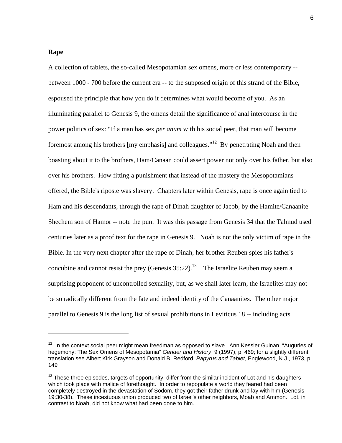## **Rape**

A collection of tablets, the so-called Mesopotamian sex omens, more or less contemporary - between 1000 - 700 before the current era -- to the supposed origin of this strand of the Bible, espoused the principle that how you do it determines what would become of you. As an illuminating parallel to Genesis 9, the omens detail the significance of anal intercourse in the power politics of sex: "If a man has sex *per anum* with his social peer, that man will become foremost among his brothers [my emphasis] and colleagues."[12](#page-6-0) By penetrating Noah and then boasting about it to the brothers, Ham/Canaan could assert power not only over his father, but also over his brothers. How fitting a punishment that instead of the mastery the Mesopotamians offered, the Bible's riposte was slavery. Chapters later within Genesis, rape is once again tied to Ham and his descendants, through the rape of Dinah daughter of Jacob, by the Hamite/Canaanite Shechem son of Hamor -- note the pun. It was this passage from Genesis 34 that the Talmud used centuries later as a proof text for the rape in Genesis 9. Noah is not the only victim of rape in the Bible. In the very next chapter after the rape of Dinah, her brother Reuben spies his father's concubine and cannot resist the prey (Genesis  $35:22$ ).<sup>13</sup> The Israelite Reuben may seem a surprising proponent of uncontrolled sexuality, but, as we shall later learn, the Israelites may not be so radically different from the fate and indeed identity of the Canaanites. The other major parallel to Genesis 9 is the long list of sexual prohibitions in Leviticus 18 -- including acts

<span id="page-6-0"></span> $12$  In the context social peer might mean freedman as opposed to slave. Ann Kessler Guinan, "Auguries of hegemony: The Sex Omens of Mesopotamia" *Gender and History*, 9 (1997), p. 469; for a slightly different translation see Albert Kirk Grayson and Donald B. Redford, *Papyrus and Tablet*, Englewood, N.J., 1973, p. 149

<span id="page-6-1"></span><sup>&</sup>lt;sup>13</sup> These three episodes, targets of opportunity, differ from the similar incident of Lot and his daughters which took place with malice of forethought. In order to repopulate a world they feared had been completely destroyed in the devastation of Sodom, they got their father drunk and lay with him (Genesis 19:30-38). These incestuous union produced two of Israel's other neighbors, Moab and Ammon. Lot, in contrast to Noah, did not know what had been done to him.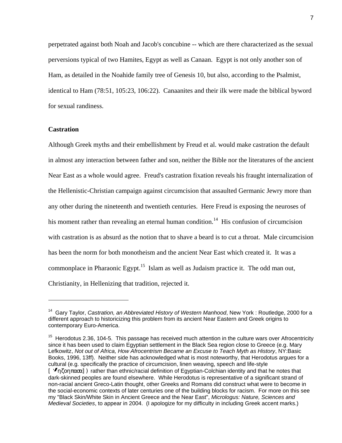perpetrated against both Noah and Jacob's concubine -- which are there characterized as the sexual perversions typical of two Hamites, Egypt as well as Canaan. Egypt is not only another son of Ham, as detailed in the Noahide family tree of Genesis 10, but also, according to the Psalmist, identical to Ham (78:51, 105:23, 106:22). Canaanites and their ilk were made the biblical byword for sexual randiness.

## **Castration**

Although Greek myths and their embellishment by Freud et al. would make castration the default in almost any interaction between father and son, neither the Bible nor the literatures of the ancient Near East as a whole would agree. Freud's castration fixation reveals his fraught internalization of the Hellenistic-Christian campaign against circumcision that assaulted Germanic Jewry more than any other during the nineteenth and twentieth centuries. Here Freud is exposing the neuroses of his moment rather than revealing an eternal human condition.<sup>14</sup> His confusion of circumcision with castration is as absurd as the notion that to shave a beard is to cut a throat. Male circumcision has been the norm for both monotheism and the ancient Near East which created it. It was a commonplace in Pharaonic Egypt.<sup>15</sup> Islam as well as Judaism practice it. The odd man out, Christianity, in Hellenizing that tradition, rejected it.

<span id="page-7-0"></span><sup>14</sup> Gary Taylor, *Castration, an Abbreviated History of Western Manhood*, New York : Routledge, 2000 for a different approach to historicizing this problem from its ancient Near Eastern and Greek origins to contemporary Euro-America.

<span id="page-7-1"></span> $15$  Herodotus 2.36, 104-5. This passage has received much attention in the culture wars over Afrocentricity since it has been used to claim Egyptian settlement in the Black Sea region close to Greece (e.g. Mary Lefkowitz, *Not out of Africa, How Afrocentrism Became an Excuse to Teach Myth as History*, NY:Basic Books, 1996, 13ff). Neither side has acknowledged what is most noteworthy, that Herodotus argues for a cultural (e.g. specifically the practice of circumcision, linen weaving, speech and life-style

<sup>[</sup>  $\sqrt[n]{\eta \zeta}$ οηπασα]) rather than ethnic/racial definition of Egyptian-Colchian identity and that he notes that dark-skinned peoples are found elsewhere. While Herodotus is representative of a significant strand of non-racial ancient Greco-Latin thought, other Greeks and Romans did construct what were to become in the social-economic contexts of later centuries one of the building blocks for racism. For more on this see my "Black Skin/White Skin in Ancient Greece and the Near East", *Micrologus: Nature, Sciences and Medieval Societies*, to appear in 2004. (I apologize for my difficulty in including Greek accent marks.)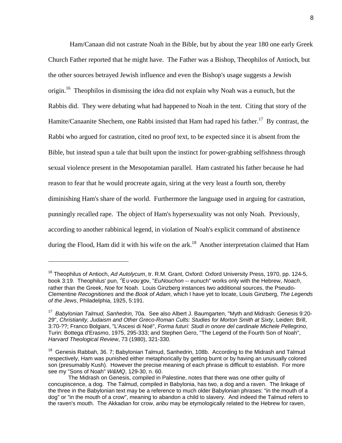<span id="page-8-2"></span> Ham/Canaan did not castrate Noah in the Bible, but by about the year 180 one early Greek Church Father reported that he might have. The Father was a Bishop, Theophilos of Antioch, but the other sources betrayed Jewish influence and even the Bishop's usage suggests a Jewish origin.<sup>16</sup> Theophilos in dismissing the idea did not explain why Noah was a eunuch, but the Rabbis did. They were debating what had happened to Noah in the tent. Citing that story of the Hamite/Canaanite Shechem, one Rabbi insisted that Ham had raped his father.<sup>17</sup> By contrast, the Rabbi who argued for castration, cited no proof text, to be expected since it is absent from the Bible, but instead spun a tale that built upon the instinct for power-grabbing selfishness through sexual violence present in the Mesopotamian parallel. Ham castrated his father because he had reason to fear that he would procreate again, siring at the very least a fourth son, thereby diminishing Ham's share of the world. Furthermore the language used in arguing for castration, punningly recalled rape. The object of Ham's hypersexuality was not only Noah. Previously, according to another rabbinical legend, in violation of Noah's explicit command of abstinence during the Flood, Ham did it with his wife on the ark.<sup>18</sup> Another interpretation claimed that Ham

<span id="page-8-0"></span><sup>16</sup> Theophilus of Antioch, *Ad Autolycum*, tr. R.M. Grant, Oxford: Oxford University Press, 1970, pp. 124-5, book 3:19. Theophilus' pun, '/ Ε υ νου χον, "*EuNouchon* -- eunuch" works only with the Hebrew, *Noach*, rather than the Greek, *Noe* for Noah. Louis Ginzberg instances two additional sources, the Pseudo-Clementine *Recognitiones* and the *Book of Adam*, which I have yet to locate, Louis Ginzberg, *The Legends of the Jews*, Philadelphia, 1925, 5:191.

<span id="page-8-1"></span><sup>17</sup> *Babylonian Talmud, Sanhedrin,* 70a. See also Albert J. Baumgarten, "Myth and Midrash: Genesis 9:20- 29", *Christianity, Judaism and Other Greco-Roman Cults: Studies for Morton Smith at Sixty*, Leiden: Brill, 3:70-??; Franco Bolgiani, "L'Ascesi di Noé", *Forma futuri: Studi in onore del cardinale Michele Pellegrino*, Turin: Bottega d'Erasmo, 1975, 295-333; and Stephen Gero, "The Legend of the Fourth Son of Noah", *Harvard Theological Review*, 73 (1980), 321-330.

<sup>&</sup>lt;sup>18</sup> Genesis Rabbah, 36. 7; Babylonian Talmud, Sanhedrin, 108b. According to the Midrash and Talmud respectively, Ham was punished either metaphorically by getting burnt or by having an unusually colored son (presumably Kush). However the precise meaning of each phrase is difficult to establish. For more see my "Sons of Noah" *W&MQ*, 129-30, n. 60.

The Midrash on Genesis, compiled in Palestine, notes that there was one other guilty of concupiscence, a dog. The Talmud, compiled in Babylonia, has two, a dog and a raven. The linkage of the three in the Babylonian text may be a reference to much older Babylonian phrases: "in the mouth of a dog" or "in the mouth of a crow", meaning to abandon a child to slavery. And indeed the Talmud refers to the raven's mouth. The Akkadian for crow, *aribu* may be etymologically related to the Hebrew for raven,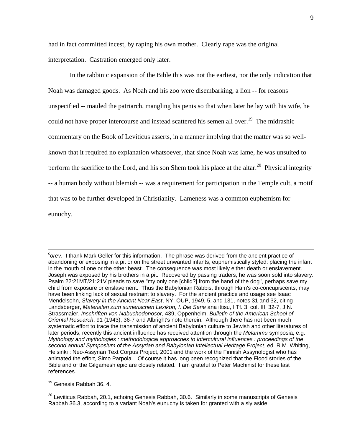had in fact committed incest, by raping his own mother. Clearly rape was the original interpretation. Castration emerged only later.

 In the rabbinic expansion of the Bible this was not the earliest, nor the only indication that Noah was damaged goods. As Noah and his zoo were disembarking, a lion -- for reasons unspecified -- mauled the patriarch, mangling his penis so that when later he lay with his wife, he could not have proper intercourse and instead scattered his semen all over.<sup>19</sup> The midrashic commentary on the Book of Leviticus asserts, in a manner implying that the matter was so wellknown that it required no explanation whatsoever, that since Noah was lame, he was unsuited to perform the sacrifice to the Lord, and his son Shem took his place at the altar.<sup>20</sup> Physical integrity -- a human body without blemish -- was a requirement for participation in the Temple cult, a motif that was to be further developed in Christianity. Lameness was a common euphemism for eunuchy.

*c orev*. I thank Mark Geller for this information. The phrase was derived from the ancient practice of abandoning or exposing in a pit or on the street unwanted infants, euphemistically styled: placing the infant in the mouth of one or the other beast. The consequence was most likely either death or enslavement. Joseph was exposed by his brothers in a pit. Recovered by passing traders, he was soon sold into slavery. Psalm 22:21MT/21:21V pleads to save "my only one [child?] from the hand of the dog", perhaps save my child from exposure or enslavement. Thus the Babylonian Rabbis, through Ham's co-concupiscents, may have been linking lack of sexual restraint to slavery. For the ancient practice and usage see Isaac Mendelsohn, *Slavery in the Ancient Near East*, NY: OUP, 1949, 5, and 131, notes 31 and 32, citing Landsberger, *Materialen zum sumerischen Lexikon, I. Die Serie* ana ittisu, I Tf. 3, col. III, 32-7, J.N. Strassmaier, *Inschriften von Nabuchodonosor*, 439, Oppenheim, *Bulletin of the American School of Oriental Research*, 91 (1943), 36-7 and Albright's note therein. Although there has not been much systematic effort to trace the transmission of ancient Babylonian culture to Jewish and other literatures of later periods, recently this ancient influence has received attention through the *Melammu* symposia, e.g. *Mythology and mythologies : methodological approaches to intercultural influences : proceedings of the second annual Symposium of the Assyrian and Babylonian Intellectual Heritage Project*, ed. R.M. Whiting, Helsinki : Neo-Assyrian Text Corpus Project, 2001 and the work of the Finnish Assyriologist who has animated the effort, Simo Parpola. Of course it has long been recognized that the Flood stories of the Bible and of the Gilgamesh epic are closely related. I am grateful to Peter Machinist for these last references.

<span id="page-9-0"></span>19 Genesis Rabbah 36. 4.

<span id="page-9-1"></span> $^{20}$  Leviticus Rabbah, 20.1, echoing Genesis Rabbah, 30.6. Similarly in some manuscripts of Genesis Rabbah 36.3, according to a variant Noah's eunuchy is taken for granted with a sly aside.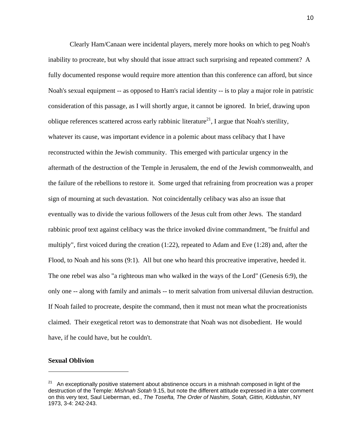Clearly Ham/Canaan were incidental players, merely more hooks on which to peg Noah's inability to procreate, but why should that issue attract such surprising and repeated comment? A fully documented response would require more attention than this conference can afford, but since Noah's sexual equipment -- as opposed to Ham's racial identity -- is to play a major role in patristic consideration of this passage, as I will shortly argue, it cannot be ignored. In brief, drawing upon oblique references scattered across early rabbinic literature<sup>21</sup>, I argue that Noah's sterility, whatever its cause, was important evidence in a polemic about mass celibacy that I have reconstructed within the Jewish community. This emerged with particular urgency in the aftermath of the destruction of the Temple in Jerusalem, the end of the Jewish commonwealth, and the failure of the rebellions to restore it. Some urged that refraining from procreation was a proper sign of mourning at such devastation. Not coincidentally celibacy was also an issue that eventually was to divide the various followers of the Jesus cult from other Jews. The standard rabbinic proof text against celibacy was the thrice invoked divine commandment, "be fruitful and multiply", first voiced during the creation  $(1:22)$ , repeated to Adam and Eve  $(1:28)$  and, after the Flood, to Noah and his sons (9:1). All but one who heard this procreative imperative, heeded it. The one rebel was also "a righteous man who walked in the ways of the Lord" (Genesis 6:9), the only one -- along with family and animals -- to merit salvation from universal diluvian destruction. If Noah failed to procreate, despite the command, then it must not mean what the procreationists claimed. Their exegetical retort was to demonstrate that Noah was not disobedient. He would have, if he could have, but he couldn't.

## **Sexual Oblivion**

<span id="page-10-0"></span><sup>&</sup>lt;sup>21</sup> An exceptionally positive statement about abstinence occurs in a mishnah composed in light of the destruction of the Temple: *Mishnah Sotah* 9.15, but note the different attitude expressed in a later comment on this very text, Saul Lieberman, ed., *The Tosefta, The Order of Nashim, Sotah, Gittin, Kiddushin*, NY 1973, 3-4: 242-243.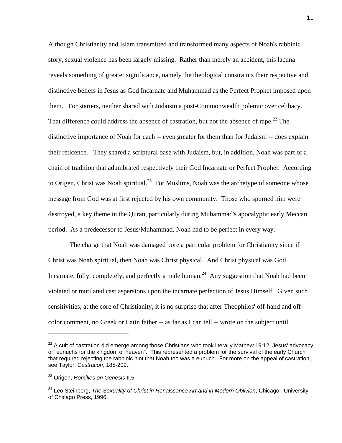Although Christianity and Islam transmitted and transformed many aspects of Noah's rabbinic story, sexual violence has been largely missing. Rather than merely an accident, this lacuna reveals something of greater significance, namely the theological constraints their respective and distinctive beliefs in Jesus as God Incarnate and Muhammad as the Perfect Prophet imposed upon them. For starters, neither shared with Judaism a post-Commonwealth polemic over celibacy. That difference could address the absence of castration, but not the absence of rape.<sup>22</sup> The distinctive importance of Noah for each -- even greater for them than for Judaism -- does explain their reticence. They shared a scriptural base with Judaism, but, in addition, Noah was part of a chain of tradition that adumbrated respectively their God Incarnate or Perfect Prophet. According to Origen, Christ was Noah spiritual.<sup>23</sup> For Muslims, Noah was the archetype of someone whose message from God was at first rejected by his own community. Those who spurned him were destroyed, a key theme in the Quran, particularly during Muhammad's apocalyptic early Meccan period. As a predecessor to Jesus/Muhammad, Noah had to be perfect in every way.

 The charge that Noah was damaged bore a particular problem for Christianity since if Christ was Noah spiritual, then Noah was Christ physical. And Christ physical was God Incarnate, fully, completely, and perfectly a male human.<sup>24</sup> Any suggestion that Noah had been violated or mutilated cast aspersions upon the incarnate perfection of Jesus Himself. Given such sensitivities, at the core of Christianity, it is no surprise that after Theophilos' off-hand and offcolor comment, no Greek or Latin father -- as far as I can tell -- wrote on the subject until

<span id="page-11-0"></span> $22$  A cult of castration did emerge among those Christians who took literally Mathew 19:12, Jesus' advocacy of "eunuchs for the kingdom of heaven". This represented a problem for the survival of the early Church that required rejecting the rabbinic hint that Noah too was a eunuch. For more on the appeal of castration, see Taylor, *Castration*, 185-209.

<span id="page-11-1"></span><sup>23</sup> Origen, *Homilies on Genesis* II.5.

<span id="page-11-2"></span><sup>24</sup> Leo Steinberg, *The Sexuality of Christ in Renaissance Art and in Modern Oblivion*, Chicago: University of Chicago Press, 1996.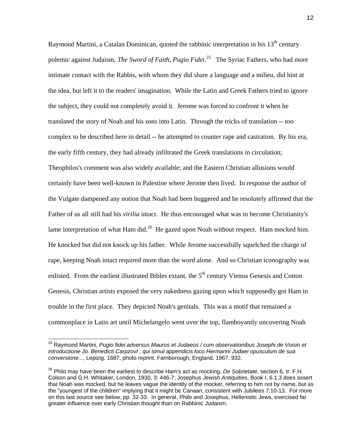Raymond Martini, a Catalan Dominican, quoted the rabbinic interpretation in his  $13<sup>th</sup>$  century polemic against Judaism, *The Sword of Faith*, *Pugio Fidei*. [25](#page-12-0) The Syriac Fathers, who had more intimate contact with the Rabbis, with whom they did share a language and a milieu, did hint at the idea, but left it to the readers' imagination. While the Latin and Greek Fathers tried to ignore the subject, they could not completely avoid it. Jerome was forced to confront it when he translated the story of Noah and his sons into Latin. Through the tricks of translation -- too complex to be described here in detail -- he attempted to counter rape and castration. By his era, the early fifth century, they had already infiltrated the Greek translations in circulation; Theophilos's comment was also widely available; and the Eastern Christian allusions would certainly have been well-known in Palestine where Jerome then lived. In response the author of the Vulgate dampened any notion that Noah had been buggered and he resolutely affirmed that the Father of us all still had his *virilia* intact. He thus encouraged what was to become Christianity's lame interpretation of what Ham did.<sup>26</sup> He gazed upon Noah without respect. Ham mocked him. He knocked but did not knock up his father. While Jerome successfully squelched the charge of rape, keeping Noah intact required more than the word alone. And so Christian iconography was enlisted. From the earliest illustrated Bibles extant, the 5<sup>th</sup> century Vienna Genesis and Cotton Genesis, Christian artists exposed the very nakedness gazing upon which supposedly got Ham in trouble in the first place. They depicted Noah's genitals. This was a motif that remained a commonplace in Latin art until Michelangelo went over the top, flamboyantly uncovering Noah

<span id="page-12-0"></span> <sup>25</sup> Raymond Martini, *Pugio fidei adversus Mauros et Judaeos / cum observationibus Josephi de Voisin et introductione Jo. Benedicti CarpzovI ; qui simul appendicis loco Hermanni Judaei opusculum de sua conversione...*, Lepizig, 1687, photo reprint, Farnborough, England, 1967, 932.

<span id="page-12-1"></span><sup>26</sup> Philo may have been the earliest to describe Ham's act as mocking, *De Sobrietate*, section 6, tr. F.H. Colson and G.H. Whitaker, London, 1930, 3: 446-7; Josephus *Jewish Antiquities*, Book I, 6.1.3 does assert that Noah was mocked, but he leaves vague the identity of the mocker, referring to him not by name, but as the "youngest of the children" implying that it might be Canaan, consistent with Jubilees 7:10-13. For more on this last source see below, pp. 32-33. In general, Philo and Josephus, Hellenistic Jews, exercised far greater influence over early Christian thought than on Rabbinic Judaism.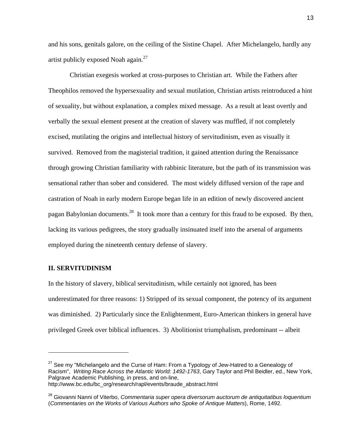and his sons, genitals galore, on the ceiling of the Sistine Chapel. After Michelangelo, hardly any artist publicly exposed Noah again[.27](#page-13-0) 

 Christian exegesis worked at cross-purposes to Christian art. While the Fathers after Theophilos removed the hypersexuality and sexual mutilation, Christian artists reintroduced a hint of sexuality, but without explanation, a complex mixed message. As a result at least overtly and verbally the sexual element present at the creation of slavery was muffled, if not completely excised, mutilating the origins and intellectual history of servitudinism, even as visually it survived. Removed from the magisterial tradition, it gained attention during the Renaissance through growing Christian familiarity with rabbinic literature, but the path of its transmission was sensational rather than sober and considered. The most widely diffused version of the rape and castration of Noah in early modern Europe began life in an edition of newly discovered ancient pagan Babylonian documents.<sup>28</sup> It took more than a century for this fraud to be exposed. By then, lacking its various pedigrees, the story gradually insinuated itself into the arsenal of arguments employed during the nineteenth century defense of slavery.

## **II. SERVITUDINISM**

In the history of slavery, biblical servitudinism, while certainly not ignored, has been underestimated for three reasons: 1) Stripped of its sexual component, the potency of its argument was diminished. 2) Particularly since the Enlightenment, Euro-American thinkers in general have privileged Greek over biblical influences. 3) Abolitionist triumphalism, predominant -- albeit

<span id="page-13-0"></span> $27$  See my "Michelangelo and the Curse of Ham: From a Typology of Jew-Hatred to a Genealogy of Racism", *Writing Race Across the Atlantic World: 1492-1763*, Gary Taylor and Phil Beidler, ed., New York, Palgrave Academic Publishing, in press, and on-line, http://www.bc.edu/bc\_org/research/rapl/events/braude\_abstract.html

<span id="page-13-1"></span><sup>28</sup> Giovanni Nanni of Viterbo, *Commentaria super opera diversorum auctorum de antiquitatibus loquentium* (*Commentaries on the Works of Various Authors who Spoke of Antique Matters*), Rome, 1492.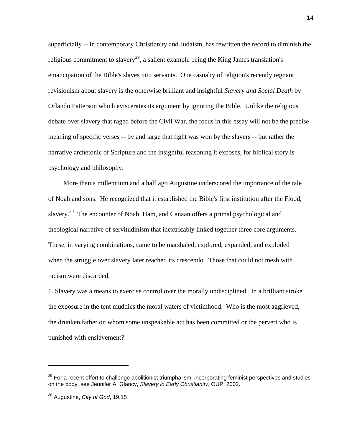superficially -- in contemporary Christianity and Judaism, has rewritten the record to diminish the religious commitment to slavery<sup>29</sup>, a salient example being the King James translation's emancipation of the Bible's slaves into servants. One casualty of religion's recently regnant revisionism about slavery is the otherwise brilliant and insightful *Slavery and Social Death* by Orlando Patterson which eviscerates its argument by ignoring the Bible. Unlike the religious debate over slavery that raged before the Civil War, the focus in this essay will not be the precise meaning of specific verses -- by and large that fight was won by the slavers -- but rather the narrative archetonic of Scripture and the insightful reasoning it exposes, for biblical story is psychology and philosophy.

 More than a millennium and a half ago Augustine underscored the importance of the tale of Noah and sons. He recognized that it established the Bible's first institution after the Flood, slavery.<sup>30</sup> The encounter of Noah, Ham, and Canaan offers a primal psychological and theological narrative of servitudinism that inextricably linked together three core arguments. These, in varying combinations, came to be marshaled, explored, expanded, and exploded when the struggle over slavery later reached its crescendo. Those that could not mesh with racism were discarded.

1. Slavery was a means to exercise control over the morally undisciplined. In a brilliant stroke the exposure in the tent muddies the moral waters of victimhood. Who is the most aggrieved, the drunken father on whom some unspeakable act has been committed or the pervert who is punished with enslavement?

 $\overline{a}$ 

<span id="page-14-0"></span><sup>&</sup>lt;sup>29</sup> For a recent effort to challenge abolitionist triumphalism, incorporating feminist perspectives and studies on the body, see Jennifer A. Glancy, *Slavery in Early Christianity*, OUP, 2002.

<span id="page-14-1"></span><sup>30</sup> Augustine, *City of God*, 19.15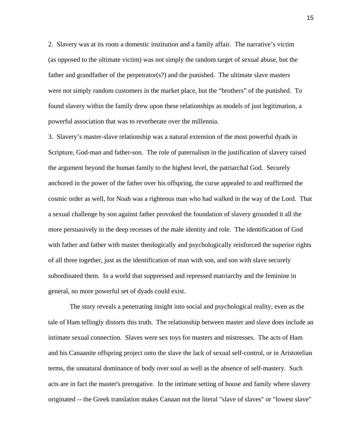2. Slavery was at its roots a domestic institution and a family affair. The narrative's victim (as opposed to the ultimate victim) was not simply the random target of sexual abuse, but the father and grandfather of the perpetrator(s?) and the punished. The ultimate slave masters were not simply random customers in the market place, but the "brothers" of the punished. To found slavery within the family drew upon these relationships as models of just legitimation, a powerful association that was to reverberate over the millennia.

3. Slavery's master-slave relationship was a natural extension of the most powerful dyads in Scripture, God-man and father-son. The role of paternalism in the justification of slavery raised the argument beyond the human family to the highest level, the patriarchal God. Securely anchored in the power of the father over his offspring, the curse appealed to and reaffirmed the cosmic order as well, for Noah was a righteous man who had walked in the way of the Lord. That a sexual challenge by son against father provoked the foundation of slavery grounded it all the more persuasively in the deep recesses of the male identity and role. The identification of God with father and father with master theologically and psychologically reinforced the superior rights of all three together, just as the identification of man with son, and son with slave securely subordinated them. In a world that suppressed and repressed matriarchy and the feminine in general, no more powerful set of dyads could exist.

 The story reveals a penetrating insight into social and psychological reality, even as the tale of Ham tellingly distorts this truth. The relationship between master and slave does include an intimate sexual connection. Slaves were sex toys for masters and mistresses. The acts of Ham and his Canaanite offspring project onto the slave the lack of sexual self-control, or in Aristotelian terms, the unnatural dominance of body over soul as well as the absence of self-mastery. Such acts are in fact the master's prerogative. In the intimate setting of house and family where slavery originated -- the Greek translation makes Canaan not the literal "slave of slaves" or "lowest slave"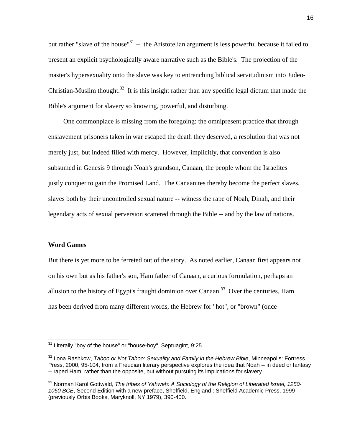but rather "slave of the house"<sup>31</sup> -- the Aristotelian argument is less powerful because it failed to present an explicit psychologically aware narrative such as the Bible's. The projection of the master's hypersexuality onto the slave was key to entrenching biblical servitudinism into Judeo-Christian-Muslim thought.<sup>32</sup> It is this insight rather than any specific legal dictum that made the Bible's argument for slavery so knowing, powerful, and disturbing.

 One commonplace is missing from the foregoing: the omnipresent practice that through enslavement prisoners taken in war escaped the death they deserved, a resolution that was not merely just, but indeed filled with mercy. However, implicitly, that convention is also subsumed in Genesis 9 through Noah's grandson, Canaan, the people whom the Israelites justly conquer to gain the Promised Land. The Canaanites thereby become the perfect slaves, slaves both by their uncontrolled sexual nature -- witness the rape of Noah, Dinah, and their legendary acts of sexual perversion scattered through the Bible -- and by the law of nations.

#### **Word Games**

But there is yet more to be ferreted out of the story. As noted earlier, Canaan first appears not on his own but as his father's son, Ham father of Canaan, a curious formulation, perhaps an allusion to the history of Egypt's fraught dominion over Canaan.<sup>33</sup> Over the centuries, Ham has been derived from many different words, the Hebrew for "hot", or "brown" (once

<span id="page-16-0"></span> $31$  Literally "boy of the house" or "house-boy", Septuagint, 9:25.

<span id="page-16-1"></span><sup>32</sup> Ilona Rashkow, *Taboo or Not Taboo: Sexuality and Family in the Hebrew Bible*, Minneapolis: Fortress Press, 2000, 95-104, from a Freudian literary perspective explores the idea that Noah -- in deed or fantasy -- raped Ham, rather than the opposite, but without pursuing its implications for slavery.

<span id="page-16-2"></span><sup>33</sup> Norman Karol Gottwald, *The tribes of Yahweh: A Sociology of the Religion of Liberated Israel, 1250- 1050 BCE*, Second Edition with a new preface, Sheffield, England : Sheffield Academic Press, 1999 (previously Orbis Books, Maryknoll, NY,1979), 390-400.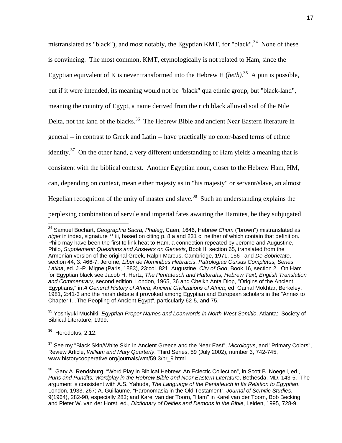mistranslated as "black"), and most notably, the Egyptian KMT, for "black".<sup>34</sup> None of these is convincing. The most common, KMT, etymologically is not related to Ham, since the Egyptian equivalent of K is never transformed into the Hebrew H  $(heth)<sup>35</sup>$  A pun is possible, but if it were intended, its meaning would not be "black" qua ethnic group, but "black-land", meaning the country of Egypt, a name derived from the rich black alluvial soil of the Nile Delta, not the land of the blacks.<sup>36</sup> The Hebrew Bible and ancient Near Eastern literature in general -- in contrast to Greek and Latin -- have practically no color-based terms of ethnic identity.<sup>37</sup> On the other hand, a very different understanding of Ham yields a meaning that is consistent with the biblical context. Another Egyptian noun, closer to the Hebrew Ham, HM, can, depending on context, mean either majesty as in "his majesty" or servant/slave, an almost Hegelian recognition of the unity of master and slave.<sup>38</sup> Such an understanding explains the perplexing combination of servile and imperial fates awaiting the Hamites, be they subjugated

<span id="page-17-1"></span>35 Yoshiyuki Muchiki, *Egyptian Proper Names and Loanwords in North-West Semitic*, Atlanta: Society of Biblical Literature, 1999.

<span id="page-17-2"></span><sup>36</sup> Herodotus, 2.12.

<span id="page-17-0"></span><sup>34</sup> Samuel Bochart, *Geographia Sacra, Phaleg*, Caen, 1646, Hebrew *Chum* ("brown") mistranslated as *niger* in index, signature \*\* iii, based on citing p. 8 a and 231 c, neither of which contain that definition. Philo may have been the first to link heat to Ham, a connection repeated by Jerome and Augustine, Philo, *Supplement: Questions and Answers on Genesis*, Book II, section 65, translated from the Armenian version of the original Greek, Ralph Marcus, Cambridge, 1971, 156 , and *De Sobrietate*, section 44, 3: 466-7; Jerome, *Liber de Nominibus Hebraicis*, *Patrologiae Cursus Completus, Series Latina*, ed. J.-P. Migne (Paris, 1883), 23:col. 821; Augustine, *City of God*, Book 16, section 2. On Ham for Egyptian black see Jacob H. Hertz, *The Pentateuch and Haftorahs, Hebrew Text, English Translation and Commentrary*, second edition, London, 1965, 36 and Cheikh Anta Diop, "Origins of the Ancient Egyptians," in *A General History of Africa*, *Ancient Civilizations of Africa*, ed. Gamal Mokhtar, Berkeley, 1981, 2:41-3 and the harsh debate it provoked among Egyptian and European scholars in the "Annex to Chapter I…The Peopling of Ancient Egypt", particularly 62-5, and 75.

<span id="page-17-3"></span><sup>37</sup> See my "Black Skin/White Skin in Ancient Greece and the Near East", *Micrologus*, and "Primary Colors", Review Article, *William and Mary Quarterly*, Third Series, 59 (July 2002), number 3, 742-745, www.historycooperative.org/journals/wm/59.3/br\_9.html

<span id="page-17-4"></span><sup>&</sup>lt;sup>38</sup> Garv A. Rendsburg, "Word Play in Biblical Hebrew: An Eclectic Collection", in Scott B. Noegell, ed., *Puns and Pundits: Wordplay in the Hebrew Bible and Near Eastern Literature*, Bethesda, MD, 143-5. The argument is consistent with A.S. Yahuda, *The Language of the Pentateuch in Its Relation to Egyptian*, London, 1933, 267; A. Guillaume, "Paronomasia in the Old Testament", *Journal of Semitic Studies*, 9(1964), 282-90, especially 283; and Karel van der Toorn, "Ham" in Karel van der Toorn, Bob Becking, and Pieter W. van der Horst, ed., *Dictionary of Deities and Demons in the Bible*, Leiden, 1995, 728-9.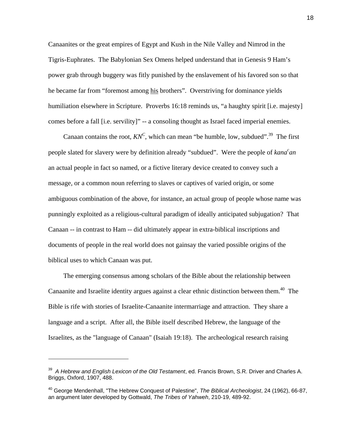Canaanites or the great empires of Egypt and Kush in the Nile Valley and Nimrod in the Tigris-Euphrates. The Babylonian Sex Omens helped understand that in Genesis 9 Ham's power grab through buggery was fitly punished by the enslavement of his favored son so that he became far from "foremost among his brothers". Overstriving for dominance yields humiliation elsewhere in Scripture. Proverbs 16:18 reminds us, "a haughty spirit [i.e. majesty] comes before a fall [i.e. servility]" -- a consoling thought as Israel faced imperial enemies.

Canaan contains the root,  $KN^C$ , which can mean "be humble, low, subdued".<sup>39</sup> The first people slated for slavery were by definition already "subdued". Were the people of *kana<sup>c</sup> an* an actual people in fact so named, or a fictive literary device created to convey such a message, or a common noun referring to slaves or captives of varied origin, or some ambiguous combination of the above, for instance, an actual group of people whose name was punningly exploited as a religious-cultural paradigm of ideally anticipated subjugation? That Canaan -- in contrast to Ham -- did ultimately appear in extra-biblical inscriptions and documents of people in the real world does not gainsay the varied possible origins of the biblical uses to which Canaan was put.

 The emerging consensus among scholars of the Bible about the relationship between Canaanite and Israelite identity argues against a clear ethnic distinction between them.<sup>40</sup> The Bible is rife with stories of Israelite-Canaanite intermarriage and attraction. They share a language and a script. After all, the Bible itself described Hebrew, the language of the Israelites, as the "language of Canaan" (Isaiah 19:18). The archeological research raising

<span id="page-18-0"></span><sup>39</sup> *A Hebrew and English Lexicon of the Old Testament*, ed. Francis Brown, S.R. Driver and Charles A. Briggs, Oxford, 1907, 488.

<span id="page-18-1"></span><sup>40</sup> George Mendenhall, "The Hebrew Conquest of Palestine", *The Biblical Archeologist*, 24 (1962), 66-87, an argument later developed by Gottwald, *The Tribes of Yahweh*, 210-19, 489-92.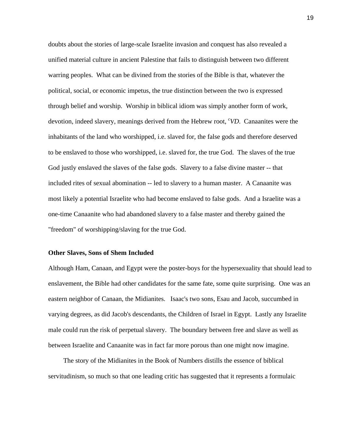doubts about the stories of large-scale Israelite invasion and conquest has also revealed a unified material culture in ancient Palestine that fails to distinguish between two different warring peoples. What can be divined from the stories of the Bible is that, whatever the political, social, or economic impetus, the true distinction between the two is expressed through belief and worship. Worship in biblical idiom was simply another form of work, devotion, indeed slavery, meanings derived from the Hebrew root, *<sup>c</sup> VD*. Canaanites were the inhabitants of the land who worshipped, i.e. slaved for, the false gods and therefore deserved to be enslaved to those who worshipped, i.e. slaved for, the true God. The slaves of the true God justly enslaved the slaves of the false gods. Slavery to a false divine master -- that included rites of sexual abomination -- led to slavery to a human master. A Canaanite was most likely a potential Israelite who had become enslaved to false gods. And a Israelite was a one-time Canaanite who had abandoned slavery to a false master and thereby gained the "freedom" of worshipping/slaving for the true God.

#### **Other Slaves, Sons of Shem Included**

Although Ham, Canaan, and Egypt were the poster-boys for the hypersexuality that should lead to enslavement, the Bible had other candidates for the same fate, some quite surprising. One was an eastern neighbor of Canaan, the Midianites. Isaac's two sons, Esau and Jacob, succumbed in varying degrees, as did Jacob's descendants, the Children of Israel in Egypt. Lastly any Israelite male could run the risk of perpetual slavery. The boundary between free and slave as well as between Israelite and Canaanite was in fact far more porous than one might now imagine.

 The story of the Midianites in the Book of Numbers distills the essence of biblical servitudinism, so much so that one leading critic has suggested that it represents a formulaic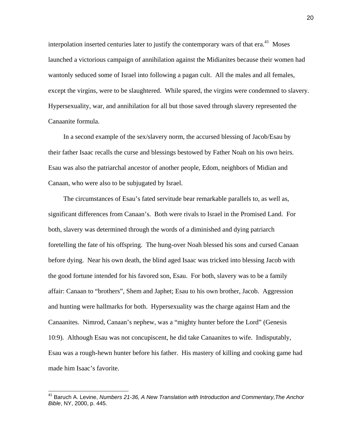interpolation inserted centuries later to justify the contemporary wars of that  $era.^{41}$  Moses launched a victorious campaign of annihilation against the Midianites because their women had wantonly seduced some of Israel into following a pagan cult. All the males and all females, except the virgins, were to be slaughtered. While spared, the virgins were condemned to slavery. Hypersexuality, war, and annihilation for all but those saved through slavery represented the Canaanite formula.

 In a second example of the sex/slavery norm, the accursed blessing of Jacob/Esau by their father Isaac recalls the curse and blessings bestowed by Father Noah on his own heirs. Esau was also the patriarchal ancestor of another people, Edom, neighbors of Midian and Canaan, who were also to be subjugated by Israel.

 The circumstances of Esau's fated servitude bear remarkable parallels to, as well as, significant differences from Canaan's. Both were rivals to Israel in the Promised Land. For both, slavery was determined through the words of a diminished and dying patriarch foretelling the fate of his offspring. The hung-over Noah blessed his sons and cursed Canaan before dying. Near his own death, the blind aged Isaac was tricked into blessing Jacob with the good fortune intended for his favored son, Esau. For both, slavery was to be a family affair: Canaan to "brothers", Shem and Japhet; Esau to his own brother, Jacob. Aggression and hunting were hallmarks for both. Hypersexuality was the charge against Ham and the Canaanites. Nimrod, Canaan's nephew, was a "mighty hunter before the Lord" (Genesis 10:9). Although Esau was not concupiscent, he did take Canaanites to wife. Indisputably, Esau was a rough-hewn hunter before his father. His mastery of killing and cooking game had made him Isaac's favorite.

<span id="page-20-0"></span><sup>&</sup>lt;sup>41</sup> Baruch A. Levine, *Numbers 21-36, A New Translation with Introduction and Commentary, The Anchor Bible*, NY, 2000, p. 445.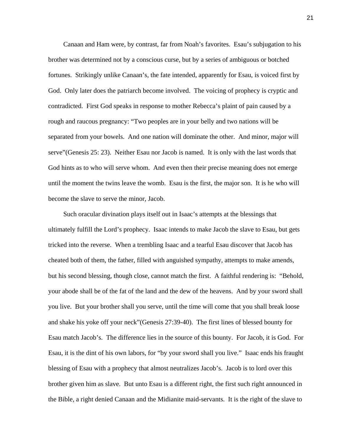Canaan and Ham were, by contrast, far from Noah's favorites. Esau's subjugation to his brother was determined not by a conscious curse, but by a series of ambiguous or botched fortunes. Strikingly unlike Canaan's, the fate intended, apparently for Esau, is voiced first by God. Only later does the patriarch become involved. The voicing of prophecy is cryptic and contradicted. First God speaks in response to mother Rebecca's plaint of pain caused by a rough and raucous pregnancy: "Two peoples are in your belly and two nations will be separated from your bowels. And one nation will dominate the other. And minor, major will serve"(Genesis 25: 23). Neither Esau nor Jacob is named. It is only with the last words that God hints as to who will serve whom. And even then their precise meaning does not emerge until the moment the twins leave the womb. Esau is the first, the major son. It is he who will become the slave to serve the minor, Jacob.

 Such oracular divination plays itself out in Isaac's attempts at the blessings that ultimately fulfill the Lord's prophecy. Isaac intends to make Jacob the slave to Esau, but gets tricked into the reverse. When a trembling Isaac and a tearful Esau discover that Jacob has cheated both of them, the father, filled with anguished sympathy, attempts to make amends, but his second blessing, though close, cannot match the first. A faithful rendering is: "Behold, your abode shall be of the fat of the land and the dew of the heavens. And by your sword shall you live. But your brother shall you serve, until the time will come that you shall break loose and shake his yoke off your neck"(Genesis 27:39-40). The first lines of blessed bounty for Esau match Jacob's. The difference lies in the source of this bounty. For Jacob, it is God. For Esau, it is the dint of his own labors, for "by your sword shall you live." Isaac ends his fraught blessing of Esau with a prophecy that almost neutralizes Jacob's. Jacob is to lord over this brother given him as slave. But unto Esau is a different right, the first such right announced in the Bible, a right denied Canaan and the Midianite maid-servants. It is the right of the slave to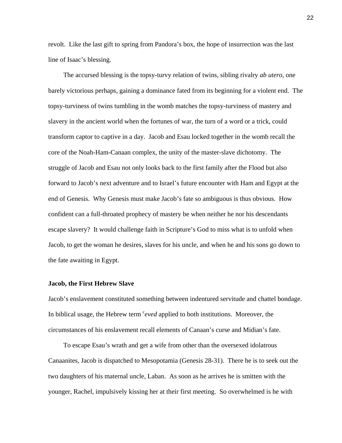revolt. Like the last gift to spring from Pandora's box, the hope of insurrection was the last line of Isaac's blessing.

 The accursed blessing is the topsy-turvy relation of twins, sibling rivalry *ab utero*, one barely victorious perhaps, gaining a dominance fated from its beginning for a violent end. The topsy-turviness of twins tumbling in the womb matches the topsy-turviness of mastery and slavery in the ancient world when the fortunes of war, the turn of a word or a trick, could transform captor to captive in a day. Jacob and Esau locked together in the womb recall the core of the Noah-Ham-Canaan complex, the unity of the master-slave dichotomy. The struggle of Jacob and Esau not only looks back to the first family after the Flood but also forward to Jacob's next adventure and to Israel's future encounter with Ham and Egypt at the end of Genesis. Why Genesis must make Jacob's fate so ambiguous is thus obvious. How confident can a full-throated prophecy of mastery be when neither he nor his descendants escape slavery? It would challenge faith in Scripture's God to miss what is to unfold when Jacob, to get the woman he desires, slaves for his uncle, and when he and his sons go down to the fate awaiting in Egypt.

#### **Jacob, the First Hebrew Slave**

Jacob's enslavement constituted something between indentured servitude and chattel bondage. In biblical usage, the Hebrew term *<sup>c</sup>eved* applied to both institutions. Moreover, the circumstances of his enslavement recall elements of Canaan's curse and Midian's fate.

 To escape Esau's wrath and get a wife from other than the oversexed idolatrous Canaanites, Jacob is dispatched to Mesopotamia (Genesis 28-31). There he is to seek out the two daughters of his maternal uncle, Laban. As soon as he arrives he is smitten with the younger, Rachel, impulsively kissing her at their first meeting. So overwhelmed is he with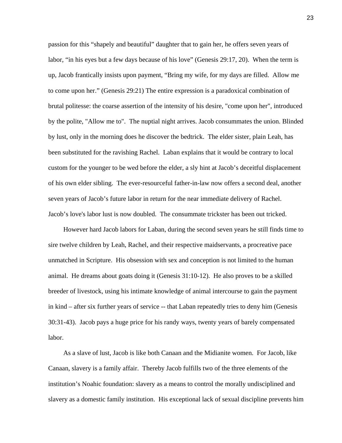passion for this "shapely and beautiful" daughter that to gain her, he offers seven years of labor, "in his eyes but a few days because of his love" (Genesis 29:17, 20). When the term is up, Jacob frantically insists upon payment, "Bring my wife, for my days are filled. Allow me to come upon her." (Genesis 29:21) The entire expression is a paradoxical combination of brutal politesse: the coarse assertion of the intensity of his desire, "come upon her", introduced by the polite, "Allow me to". The nuptial night arrives. Jacob consummates the union. Blinded by lust, only in the morning does he discover the bedtrick. The elder sister, plain Leah, has been substituted for the ravishing Rachel. Laban explains that it would be contrary to local custom for the younger to be wed before the elder, a sly hint at Jacob's deceitful displacement of his own elder sibling. The ever-resourceful father-in-law now offers a second deal, another seven years of Jacob's future labor in return for the near immediate delivery of Rachel. Jacob's love's labor lust is now doubled. The consummate trickster has been out tricked.

 However hard Jacob labors for Laban, during the second seven years he still finds time to sire twelve children by Leah, Rachel, and their respective maidservants, a procreative pace unmatched in Scripture. His obsession with sex and conception is not limited to the human animal. He dreams about goats doing it (Genesis 31:10-12). He also proves to be a skilled breeder of livestock, using his intimate knowledge of animal intercourse to gain the payment in kind – after six further years of service -- that Laban repeatedly tries to deny him (Genesis 30:31-43). Jacob pays a huge price for his randy ways, twenty years of barely compensated labor.

 As a slave of lust, Jacob is like both Canaan and the Midianite women. For Jacob, like Canaan, slavery is a family affair. Thereby Jacob fulfills two of the three elements of the institution's Noahic foundation: slavery as a means to control the morally undisciplined and slavery as a domestic family institution. His exceptional lack of sexual discipline prevents him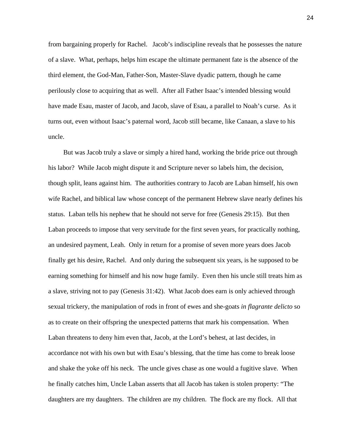from bargaining properly for Rachel. Jacob's indiscipline reveals that he possesses the nature of a slave. What, perhaps, helps him escape the ultimate permanent fate is the absence of the third element, the God-Man, Father-Son, Master-Slave dyadic pattern, though he came perilously close to acquiring that as well. After all Father Isaac's intended blessing would have made Esau, master of Jacob, and Jacob, slave of Esau, a parallel to Noah's curse. As it turns out, even without Isaac's paternal word, Jacob still became, like Canaan, a slave to his uncle.

 But was Jacob truly a slave or simply a hired hand, working the bride price out through his labor? While Jacob might dispute it and Scripture never so labels him, the decision, though split, leans against him. The authorities contrary to Jacob are Laban himself, his own wife Rachel, and biblical law whose concept of the permanent Hebrew slave nearly defines his status. Laban tells his nephew that he should not serve for free (Genesis 29:15). But then Laban proceeds to impose that very servitude for the first seven years, for practically nothing, an undesired payment, Leah. Only in return for a promise of seven more years does Jacob finally get his desire, Rachel. And only during the subsequent six years, is he supposed to be earning something for himself and his now huge family. Even then his uncle still treats him as a slave, striving not to pay (Genesis 31:42). What Jacob does earn is only achieved through sexual trickery, the manipulation of rods in front of ewes and she-goats *in flagrante delicto* so as to create on their offspring the unexpected patterns that mark his compensation. When Laban threatens to deny him even that, Jacob, at the Lord's behest, at last decides, in accordance not with his own but with Esau's blessing, that the time has come to break loose and shake the yoke off his neck. The uncle gives chase as one would a fugitive slave. When he finally catches him, Uncle Laban asserts that all Jacob has taken is stolen property: "The daughters are my daughters. The children are my children. The flock are my flock. All that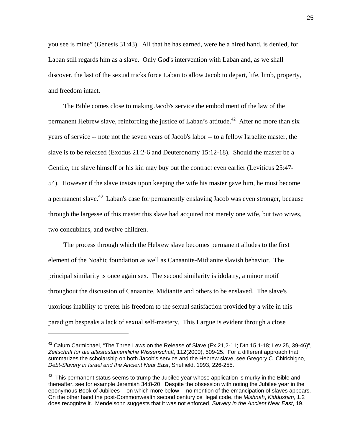you see is mine" (Genesis 31:43). All that he has earned, were he a hired hand, is denied, for Laban still regards him as a slave. Only God's intervention with Laban and, as we shall discover, the last of the sexual tricks force Laban to allow Jacob to depart, life, limb, property, and freedom intact.

 The Bible comes close to making Jacob's service the embodiment of the law of the permanent Hebrew slave, reinforcing the justice of Laban's attitude.<sup>42</sup> After no more than six years of service -- note not the seven years of Jacob's labor -- to a fellow Israelite master, the slave is to be released (Exodus 21:2-6 and Deuteronomy 15:12-18). Should the master be a Gentile, the slave himself or his kin may buy out the contract even earlier (Leviticus 25:47- 54). However if the slave insists upon keeping the wife his master gave him, he must become a permanent slave.<sup>43</sup> Laban's case for permanently enslaving Jacob was even stronger, because through the largesse of this master this slave had acquired not merely one wife, but two wives, two concubines, and twelve children.

 The process through which the Hebrew slave becomes permanent alludes to the first element of the Noahic foundation as well as Canaanite-Midianite slavish behavior. The principal similarity is once again sex. The second similarity is idolatry, a minor motif throughout the discussion of Canaanite, Midianite and others to be enslaved. The slave's uxorious inability to prefer his freedom to the sexual satisfaction provided by a wife in this paradigm bespeaks a lack of sexual self-mastery. This I argue is evident through a close

<span id="page-25-0"></span><sup>&</sup>lt;sup>42</sup> Calum Carmichael, "The Three Laws on the Release of Slave (Ex 21,2-11; Dtn 15,1-18; Lev 25, 39-46)", *Zeitschrift für die altestestamentliche Wissenschaft*, 112(2000), 509-25. For a different approach that summarizes the scholarship on both Jacob's service and the Hebrew slave, see Gregory C. Chirichigno, *Debt-Slavery in Israel and the Ancient Near East*, Sheffield, 1993, 226-255.

<span id="page-25-1"></span> $43$  This permanent status seems to trump the Jubilee year whose application is murky in the Bible and thereafter, see for example Jeremiah 34:8-20. Despite the obsession with noting the Jubilee year in the eponymous Book of Jubilees -- on which more below -- no mention of the emancipation of slaves appears. On the other hand the post-Commonwealth second century ce legal code, the *Mishnah*, *Kiddushim*, 1.2 does recognize it. Mendelsohn suggests that it was not enforced, *Slavery in the Ancient Near East*, 19.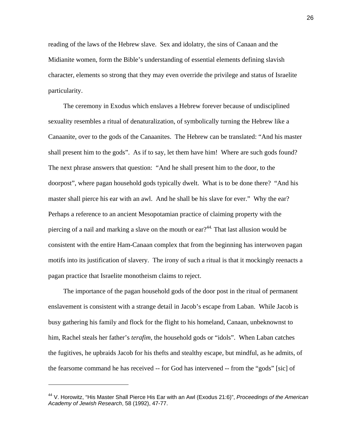reading of the laws of the Hebrew slave. Sex and idolatry, the sins of Canaan and the Midianite women, form the Bible's understanding of essential elements defining slavish character, elements so strong that they may even override the privilege and status of Israelite particularity.

 The ceremony in Exodus which enslaves a Hebrew forever because of undisciplined sexuality resembles a ritual of denaturalization, of symbolically turning the Hebrew like a Canaanite, over to the gods of the Canaanites. The Hebrew can be translated: "And his master shall present him to the gods". As if to say, let them have him! Where are such gods found? The next phrase answers that question: "And he shall present him to the door, to the doorpost", where pagan household gods typically dwelt. What is to be done there? "And his master shall pierce his ear with an awl. And he shall be his slave for ever." Why the ear? Perhaps a reference to an ancient Mesopotamian practice of claiming property with the piercing of a nail and marking a slave on the mouth or  $ear?$ <sup>44.</sup> That last allusion would be consistent with the entire Ham-Canaan complex that from the beginning has interwoven pagan motifs into its justification of slavery. The irony of such a ritual is that it mockingly reenacts a pagan practice that Israelite monotheism claims to reject.

 The importance of the pagan household gods of the door post in the ritual of permanent enslavement is consistent with a strange detail in Jacob's escape from Laban. While Jacob is busy gathering his family and flock for the flight to his homeland, Canaan, unbeknownst to him, Rachel steals her father's *terafim*, the household gods or "idols". When Laban catches the fugitives, he upbraids Jacob for his thefts and stealthy escape, but mindful, as he admits, of the fearsome command he has received -- for God has intervened -- from the "gods" [sic] of

 $\overline{a}$ 

<span id="page-26-0"></span><sup>44</sup> V. Horowitz, "His Master Shall Pierce His Ear with an Awl (Exodus 21:6)", *Proceedings of the American Academy of Jewish Research*, 58 (1992), 47-77.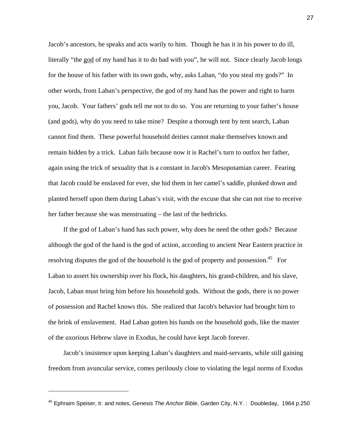Jacob's ancestors, he speaks and acts warily to him. Though he has it in his power to do ill, literally "the god of my hand has it to do bad with you", he will not. Since clearly Jacob longs for the house of his father with its own gods, why, asks Laban, "do you steal my gods?" In other words, from Laban's perspective, the god of my hand has the power and right to harm you, Jacob. Your fathers' gods tell me not to do so. You are returning to your father's house (and gods), why do you need to take mine? Despite a thorough tent by tent search, Laban cannot find them. These powerful household deities cannot make themselves known and remain hidden by a trick. Laban fails because now it is Rachel's turn to outfox her father, again using the trick of sexuality that is a constant in Jacob's Mesopotamian career. Fearing that Jacob could be enslaved for ever, she hid them in her camel's saddle, plunked down and planted herself upon them during Laban's visit, with the excuse that she can not rise to receive her father because she was menstruating – the last of the bedtricks.

 If the god of Laban's hand has such power, why does he need the other gods? Because although the god of the hand is the god of action, according to ancient Near Eastern practice in resolving disputes the god of the household is the god of property and possession.<sup>45</sup> For Laban to assert his ownership over his flock, his daughters, his grand-children, and his slave, Jacob, Laban must bring him before his household gods. Without the gods, there is no power of possession and Rachel knows this. She realized that Jacob's behavior had brought him to the brink of enslavement. Had Laban gotten his hands on the household gods, like the master of the uxorious Hebrew slave in Exodus, he could have kept Jacob forever.

 Jacob's insistence upon keeping Laban's daughters and maid-servants, while still gaining freedom from avuncular service, comes perilously close to violating the legal norms of Exodus

<span id="page-27-0"></span><sup>45</sup> Ephraim Speiser, tr. and notes, *Genesis The Anchor Bible*, Garden City, N.Y. : Doubleday, 1964 p.250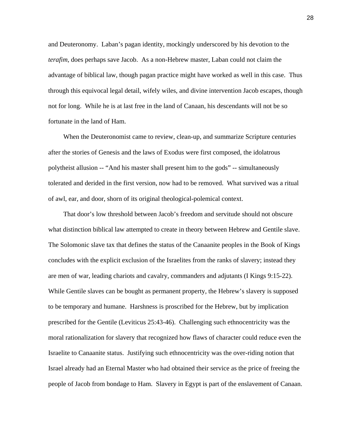and Deuteronomy. Laban's pagan identity, mockingly underscored by his devotion to the *terafim*, does perhaps save Jacob. As a non-Hebrew master, Laban could not claim the advantage of biblical law, though pagan practice might have worked as well in this case. Thus through this equivocal legal detail, wifely wiles, and divine intervention Jacob escapes, though not for long. While he is at last free in the land of Canaan, his descendants will not be so fortunate in the land of Ham.

 When the Deuteronomist came to review, clean-up, and summarize Scripture centuries after the stories of Genesis and the laws of Exodus were first composed, the idolatrous polytheist allusion -- "And his master shall present him to the gods" -- simultaneously tolerated and derided in the first version, now had to be removed. What survived was a ritual of awl, ear, and door, shorn of its original theological-polemical context.

 That door's low threshold between Jacob's freedom and servitude should not obscure what distinction biblical law attempted to create in theory between Hebrew and Gentile slave. The Solomonic slave tax that defines the status of the Canaanite peoples in the Book of Kings concludes with the explicit exclusion of the Israelites from the ranks of slavery; instead they are men of war, leading chariots and cavalry, commanders and adjutants (I Kings 9:15-22). While Gentile slaves can be bought as permanent property, the Hebrew's slavery is supposed to be temporary and humane. Harshness is proscribed for the Hebrew, but by implication prescribed for the Gentile (Leviticus 25:43-46). Challenging such ethnocentricity was the moral rationalization for slavery that recognized how flaws of character could reduce even the Israelite to Canaanite status. Justifying such ethnocentricity was the over-riding notion that Israel already had an Eternal Master who had obtained their service as the price of freeing the people of Jacob from bondage to Ham. Slavery in Egypt is part of the enslavement of Canaan.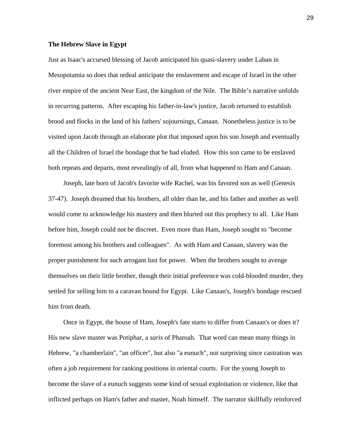## **The Hebrew Slave in Egypt**

Just as Isaac's accursed blessing of Jacob anticipated his quasi-slavery under Laban in Mesopotamia so does that ordeal anticipate the enslavement and escape of Israel in the other river empire of the ancient Near East, the kingdom of the Nile. The Bible's narrative unfolds in recurring patterns. After escaping his father-in-law's justice, Jacob returned to establish brood and flocks in the land of his fathers' sojournings, Canaan. Nonetheless justice is to be visited upon Jacob through an elaborate plot that imposed upon his son Joseph and eventually all the Children of Israel the bondage that he had eluded. How this son came to be enslaved both repeats and departs, most revealingly of all, from what happened to Ham and Canaan.

 Joseph, late born of Jacob's favorite wife Rachel, was his favored son as well (Genesis 37-47). Joseph dreamed that his brothers, all older than he, and his father and mother as well would come to acknowledge his mastery and then blurted out this prophecy to all. Like Ham before him, Joseph could not be discreet. Even more than Ham, Joseph sought to "become foremost among his brothers and colleagues". As with Ham and Canaan, slavery was the proper punishment for such arrogant lust for power. When the brothers sought to avenge themselves on their little brother, though their initial preference was cold-blooded murder, they settled for selling him to a caravan bound for Egypt. Like Canaan's, Joseph's bondage rescued him from death.

 Once in Egypt, the house of Ham, Joseph's fate starts to differ from Canaan's or does it? His new slave master was Potiphar, a *saris* of Pharoah. That word can mean many things in Hebrew, "a chamberlain", "an officer", but also "a eunuch", not surprising since castration was often a job requirement for ranking positions in oriental courts. For the young Joseph to become the slave of a eunuch suggests some kind of sexual exploitation or violence, like that inflicted perhaps on Ham's father and master, Noah himself. The narrator skillfully reinforced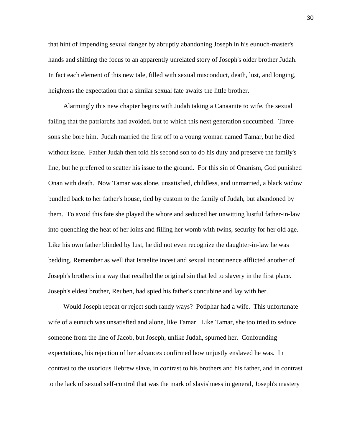that hint of impending sexual danger by abruptly abandoning Joseph in his eunuch-master's hands and shifting the focus to an apparently unrelated story of Joseph's older brother Judah. In fact each element of this new tale, filled with sexual misconduct, death, lust, and longing, heightens the expectation that a similar sexual fate awaits the little brother.

 Alarmingly this new chapter begins with Judah taking a Canaanite to wife, the sexual failing that the patriarchs had avoided, but to which this next generation succumbed. Three sons she bore him. Judah married the first off to a young woman named Tamar, but he died without issue. Father Judah then told his second son to do his duty and preserve the family's line, but he preferred to scatter his issue to the ground. For this sin of Onanism, God punished Onan with death. Now Tamar was alone, unsatisfied, childless, and unmarried, a black widow bundled back to her father's house, tied by custom to the family of Judah, but abandoned by them. To avoid this fate she played the whore and seduced her unwitting lustful father-in-law into quenching the heat of her loins and filling her womb with twins, security for her old age. Like his own father blinded by lust, he did not even recognize the daughter-in-law he was bedding. Remember as well that Israelite incest and sexual incontinence afflicted another of Joseph's brothers in a way that recalled the original sin that led to slavery in the first place. Joseph's eldest brother, Reuben, had spied his father's concubine and lay with her.

 Would Joseph repeat or reject such randy ways? Potiphar had a wife. This unfortunate wife of a eunuch was unsatisfied and alone, like Tamar. Like Tamar, she too tried to seduce someone from the line of Jacob, but Joseph, unlike Judah, spurned her. Confounding expectations, his rejection of her advances confirmed how unjustly enslaved he was. In contrast to the uxorious Hebrew slave, in contrast to his brothers and his father, and in contrast to the lack of sexual self-control that was the mark of slavishness in general, Joseph's mastery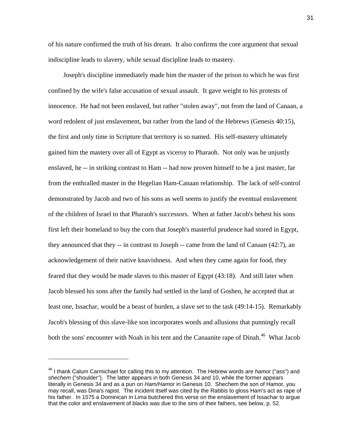of his nature confirmed the truth of his dream. It also confirms the core argument that sexual indiscipline leads to slavery, while sexual discipline leads to mastery.

 Joseph's discipline immediately made him the master of the prison to which he was first confined by the wife's false accusation of sexual assault. It gave weight to his protests of innocence. He had not been enslaved, but rather "stolen away", not from the land of Canaan, a word redolent of just enslavement, but rather from the land of the Hebrews (Genesis 40:15), the first and only time in Scripture that territory is so named. His self-mastery ultimately gained him the mastery over all of Egypt as viceroy to Pharaoh. Not only was he unjustly enslaved, he -- in striking contrast to Ham -- had now proven himself to be a just master, far from the enthralled master in the Hegelian Ham-Canaan relationship. The lack of self-control demonstrated by Jacob and two of his sons as well seems to justify the eventual enslavement of the children of Israel to that Pharaoh's successors. When at father Jacob's behest his sons first left their homeland to buy the corn that Joseph's masterful prudence had stored in Egypt, they announced that they -- in contrast to Joseph -- came from the land of Canaan (42:7), an acknowledgement of their native knavishness. And when they came again for food, they feared that they would be made slaves to this master of Egypt (43:18). And still later when Jacob blessed his sons after the family had settled in the land of Goshen, he accepted that at least one, Issachar, would be a beast of burden, a slave set to the task (49:14-15). Remarkably Jacob's blessing of this slave-like son incorporates words and allusions that punningly recall both the sons' encounter with Noah in his tent and the Canaanite rape of Dinah.<sup>46</sup> What Jacob

<span id="page-31-0"></span><sup>46</sup> I thank Calum Carmichael for calling this to my attention. The Hebrew words are *hamor* ("ass") and *shechem* ("shoulder"). The latter appears in both Genesis 34 and 10, while the former appears literally in Genesis 34 and as a pun on *Ham/Hamor* in Genesis 10. Shechem the son of Hamor, you may recall, was Dina's rapist. The incident itself was cited by the Rabbis to gloss Ham's act as rape of his father. In 1575 a Dominican in Lima butchered this verse on the enslavement of Issachar to argue that the color and enslavement of blacks was due to the sins of their fathers, see below, p. 52.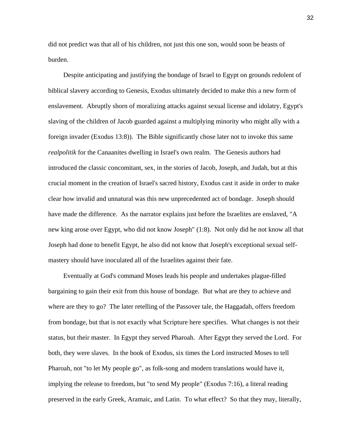did not predict was that all of his children, not just this one son, would soon be beasts of burden.

 Despite anticipating and justifying the bondage of Israel to Egypt on grounds redolent of biblical slavery according to Genesis, Exodus ultimately decided to make this a new form of enslavement. Abruptly shorn of moralizing attacks against sexual license and idolatry, Egypt's slaving of the children of Jacob guarded against a multiplying minority who might ally with a foreign invader (Exodus 13:8)). The Bible significantly chose later not to invoke this same *realpolitik* for the Canaanites dwelling in Israel's own realm. The Genesis authors had introduced the classic concomitant, sex, in the stories of Jacob, Joseph, and Judah, but at this crucial moment in the creation of Israel's sacred history, Exodus cast it aside in order to make clear how invalid and unnatural was this new unprecedented act of bondage. Joseph should have made the difference. As the narrator explains just before the Israelites are enslaved, "A new king arose over Egypt, who did not know Joseph" (1:8). Not only did he not know all that Joseph had done to benefit Egypt, he also did not know that Joseph's exceptional sexual selfmastery should have inoculated all of the Israelites against their fate.

 Eventually at God's command Moses leads his people and undertakes plague-filled bargaining to gain their exit from this house of bondage. But what are they to achieve and where are they to go? The later retelling of the Passover tale, the Haggadah, offers freedom from bondage, but that is not exactly what Scripture here specifies. What changes is not their status, but their master. In Egypt they served Pharoah. After Egypt they served the Lord. For both, they were slaves. In the book of Exodus, six times the Lord instructed Moses to tell Pharoah, not "to let My people go", as folk-song and modern translations would have it, implying the release to freedom, but "to send My people" (Exodus 7:16), a literal reading preserved in the early Greek, Aramaic, and Latin. To what effect? So that they may, literally,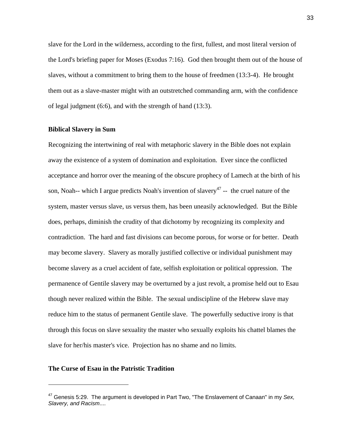slave for the Lord in the wilderness, according to the first, fullest, and most literal version of the Lord's briefing paper for Moses (Exodus 7:16). God then brought them out of the house of slaves, without a commitment to bring them to the house of freedmen (13:3-4). He brought them out as a slave-master might with an outstretched commanding arm, with the confidence of legal judgment (6:6), and with the strength of hand (13:3).

#### **Biblical Slavery in Sum**

Recognizing the intertwining of real with metaphoric slavery in the Bible does not explain away the existence of a system of domination and exploitation. Ever since the conflicted acceptance and horror over the meaning of the obscure prophecy of Lamech at the birth of his son, Noah-- which I argue predicts Noah's invention of slavery<sup>47</sup> -- the cruel nature of the system, master versus slave, us versus them, has been uneasily acknowledged. But the Bible does, perhaps, diminish the crudity of that dichotomy by recognizing its complexity and contradiction. The hard and fast divisions can become porous, for worse or for better. Death may become slavery. Slavery as morally justified collective or individual punishment may become slavery as a cruel accident of fate, selfish exploitation or political oppression. The permanence of Gentile slavery may be overturned by a just revolt, a promise held out to Esau though never realized within the Bible. The sexual undiscipline of the Hebrew slave may reduce him to the status of permanent Gentile slave. The powerfully seductive irony is that through this focus on slave sexuality the master who sexually exploits his chattel blames the slave for her/his master's vice. Projection has no shame and no limits.

#### **The Curse of Esau in the Patristic Tradition**

 $\overline{a}$ 

<span id="page-33-0"></span><sup>47</sup> Genesis 5:29. The argument is developed in Part Two, "The Enslavement of Canaan" in my *Sex, Slavery, and Racism*....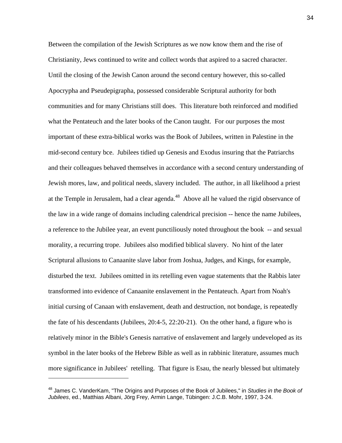Between the compilation of the Jewish Scriptures as we now know them and the rise of Christianity, Jews continued to write and collect words that aspired to a sacred character. Until the closing of the Jewish Canon around the second century however, this so-called Apocrypha and Pseudepigrapha, possessed considerable Scriptural authority for both communities and for many Christians still does. This literature both reinforced and modified what the Pentateuch and the later books of the Canon taught. For our purposes the most important of these extra-biblical works was the Book of Jubilees, written in Palestine in the mid-second century bce. Jubilees tidied up Genesis and Exodus insuring that the Patriarchs and their colleagues behaved themselves in accordance with a second century understanding of Jewish mores, law, and political needs, slavery included. The author, in all likelihood a priest at the Temple in Jerusalem, had a clear agenda.<sup>48</sup> Above all he valued the rigid observance of the law in a wide range of domains including calendrical precision -- hence the name Jubilees, a reference to the Jubilee year, an event punctiliously noted throughout the book -- and sexual morality, a recurring trope. Jubilees also modified biblical slavery. No hint of the later Scriptural allusions to Canaanite slave labor from Joshua, Judges, and Kings, for example, disturbed the text. Jubilees omitted in its retelling even vague statements that the Rabbis later transformed into evidence of Canaanite enslavement in the Pentateuch. Apart from Noah's initial cursing of Canaan with enslavement, death and destruction, not bondage, is repeatedly the fate of his descendants (Jubilees, 20:4-5, 22:20-21). On the other hand, a figure who is relatively minor in the Bible's Genesis narrative of enslavement and largely undeveloped as its symbol in the later books of the Hebrew Bible as well as in rabbinic literature, assumes much more significance in Jubilees' retelling. That figure is Esau, the nearly blessed but ultimately

<span id="page-34-0"></span><sup>48</sup> James C. VanderKam, "The Origins and Purposes of the Book of Jubilees," in *Studies in the Book of Jubilees*, ed., Matthias Albani, Jörg Frey, Armin Lange, Tübingen: J.C.B. Mohr, 1997, 3-24.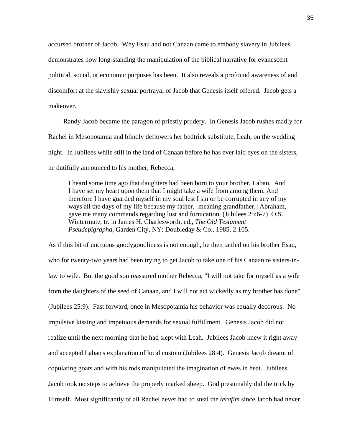accursed brother of Jacob. Why Esau and not Canaan came to embody slavery in Jubilees demonstrates how long-standing the manipulation of the biblical narrative for evanescent political, social, or economic purposes has been. It also reveals a profound awareness of and discomfort at the slavishly sexual portrayal of Jacob that Genesis itself offered. Jacob gets a makeover.

 Randy Jacob became the paragon of priestly prudery. In Genesis Jacob rushes madly for Rachel in Mesopotamia and blindly deflowers her bedtrick substitute, Leah, on the wedding night. In Jubilees while still in the land of Canaan before he has ever laid eyes on the sisters, he dutifully announced to his mother, Rebecca,

I heard some time ago that daughters had been born to your brother, Laban. And I have set my heart upon them that I might take a wife from among them. And therefore I have guarded myself in my soul lest I sin or be corrupted in any of my ways all the days of my life because my father, [meaning grandfather,] Abraham, gave me many commands regarding lust and fornication. (Jubilees 25:6-7) O.S. Wintermute, tr. in James H. Charlesworth, ed., *The Old Testament Pseudepigrapha*, Garden City, NY: Doubleday & Co., 1985, 2:105.

As if this bit of unctuous goodygoodliness is not enough, he then tattled on his brother Esau, who for twenty-two years had been trying to get Jacob to take one of his Canaanite sisters-inlaw to wife. But the good son reassured mother Rebecca, "I will not take for myself as a wife from the daughters of the seed of Canaan, and I will not act wickedly as my brother has done" (Jubilees 25:9). Fast forward, once in Mesopotamia his behavior was equally decorous: No impulsive kissing and impetuous demands for sexual fulfillment. Genesis Jacob did not realize until the next morning that he had slept with Leah. Jubilees Jacob knew it right away and accepted Laban's explanation of local custom (Jubilees 28:4). Genesis Jacob dreamt of copulating goats and with his rods manipulated the imagination of ewes in heat. Jubilees Jacob took no steps to achieve the properly marked sheep. God presumably did the trick by Himself. Most significantly of all Rachel never had to steal the *terafim* since Jacob had never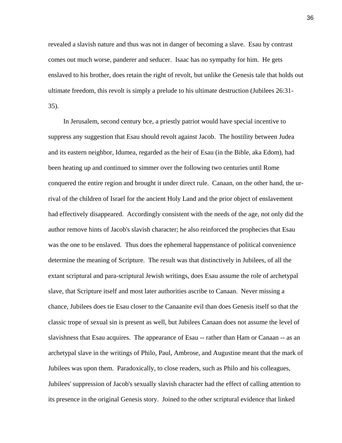revealed a slavish nature and thus was not in danger of becoming a slave. Esau by contrast comes out much worse, panderer and seducer. Isaac has no sympathy for him. He gets enslaved to his brother, does retain the right of revolt, but unlike the Genesis tale that holds out ultimate freedom, this revolt is simply a prelude to his ultimate destruction (Jubilees 26:31- 35).

 In Jerusalem, second century bce, a priestly patriot would have special incentive to suppress any suggestion that Esau should revolt against Jacob. The hostility between Judea and its eastern neighbor, Idumea, regarded as the heir of Esau (in the Bible, aka Edom), had been heating up and continued to simmer over the following two centuries until Rome conquered the entire region and brought it under direct rule. Canaan, on the other hand, the urrival of the children of Israel for the ancient Holy Land and the prior object of enslavement had effectively disappeared. Accordingly consistent with the needs of the age, not only did the author remove hints of Jacob's slavish character; he also reinforced the prophecies that Esau was the one to be enslaved. Thus does the ephemeral happenstance of political convenience determine the meaning of Scripture. The result was that distinctively in Jubilees, of all the extant scriptural and para-scriptural Jewish writings, does Esau assume the role of archetypal slave, that Scripture itself and most later authorities ascribe to Canaan. Never missing a chance, Jubilees does tie Esau closer to the Canaanite evil than does Genesis itself so that the classic trope of sexual sin is present as well, but Jubilees Canaan does not assume the level of slavishness that Esau acquires. The appearance of Esau -- rather than Ham or Canaan -- as an archetypal slave in the writings of Philo, Paul, Ambrose, and Augustine meant that the mark of Jubilees was upon them. Paradoxically, to close readers, such as Philo and his colleagues, Jubilees' suppression of Jacob's sexually slavish character had the effect of calling attention to its presence in the original Genesis story. Joined to the other scriptural evidence that linked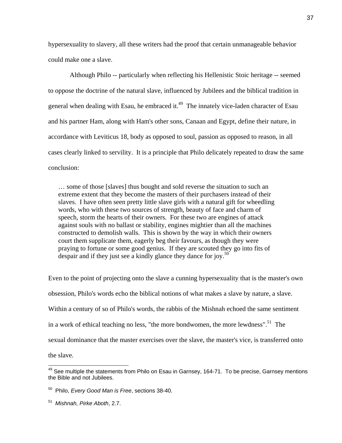hypersexuality to slavery, all these writers had the proof that certain unmanageable behavior could make one a slave.

 Although Philo -- particularly when reflecting his Hellenistic Stoic heritage -- seemed to oppose the doctrine of the natural slave, influenced by Jubilees and the biblical tradition in general when dealing with Esau, he embraced it.<sup>49</sup> The innately vice-laden character of Esau and his partner Ham, along with Ham's other sons, Canaan and Egypt, define their nature, in accordance with Leviticus 18, body as opposed to soul, passion as opposed to reason, in all cases clearly linked to servility. It is a principle that Philo delicately repeated to draw the same conclusion:

… some of those [slaves] thus bought and sold reverse the situation to such an extreme extent that they become the masters of their purchasers instead of their slaves. I have often seen pretty little slave girls with a natural gift for wheedling words, who with these two sources of strength, beauty of face and charm of speech, storm the hearts of their owners. For these two are engines of attack against souls with no ballast or stability, engines mightier than all the machines constructed to demolish walls. This is shown by the way in which their owners court them supplicate them, eagerly beg their favours, as though they were praying to fortune or some good genius. If they are scouted they go into fits of despair and if they just see a kindly glance they dance for joy.<sup>50</sup>

Even to the point of projecting onto the slave a cunning hypersexuality that is the master's own obsession, Philo's words echo the biblical notions of what makes a slave by nature, a slave. Within a century of so of Philo's words, the rabbis of the Mishnah echoed the same sentiment in a work of ethical teaching no less, "the more bondwomen, the more lewdness".<sup>51</sup> The sexual dominance that the master exercises over the slave, the master's vice, is transferred onto the slave.

 $\overline{a}$ 

<span id="page-37-0"></span> $49$  See multiple the statements from Philo on Esau in Garnsey, 164-71. To be precise, Garnsey mentions the Bible and not Jubilees.

<span id="page-37-1"></span><sup>50</sup> Philo, *Every Good Man is Free*, sections 38-40.

<span id="page-37-2"></span><sup>51</sup> *Mishnah, Pirke Aboth*, 2.7.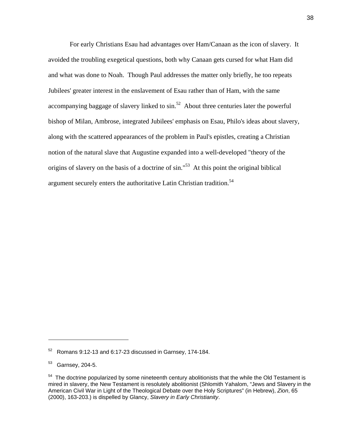For early Christians Esau had advantages over Ham/Canaan as the icon of slavery. It avoided the troubling exegetical questions, both why Canaan gets cursed for what Ham did and what was done to Noah. Though Paul addresses the matter only briefly, he too repeats Jubilees' greater interest in the enslavement of Esau rather than of Ham, with the same accompanying baggage of slavery linked to  $\sin^{52}$  About three centuries later the powerful bishop of Milan, Ambrose, integrated Jubilees' emphasis on Esau, Philo's ideas about slavery, along with the scattered appearances of the problem in Paul's epistles, creating a Christian notion of the natural slave that Augustine expanded into a well-developed "theory of the origins of slavery on the basis of a doctrine of sin."[53](#page-38-1) At this point the original biblical argument securely enters the authoritative Latin Christian tradition.<sup>54</sup>

<span id="page-38-0"></span><sup>52</sup> Romans 9:12-13 and 6:17-23 discussed in Garnsey, 174-184.

<span id="page-38-1"></span><sup>53</sup> Garnsey, 204-5.

<span id="page-38-2"></span> $54$  The doctrine popularized by some nineteenth century abolitionists that the while the Old Testament is mired in slavery, the New Testament is resolutely abolitionist (Shlomith Yahalom, "Jews and Slavery in the American Civil War in Light of the Theological Debate over the Holy Scriptures" (in Hebrew), *Zion*, 65 (2000), 163-203.) is dispelled by Glancy, *Slavery in Early Christianity*.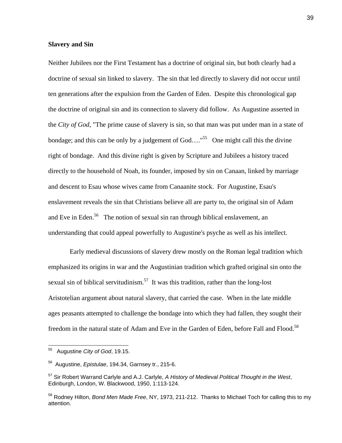### **Slavery and Sin**

Neither Jubilees nor the First Testament has a doctrine of original sin, but both clearly had a doctrine of sexual sin linked to slavery. The sin that led directly to slavery did not occur until ten generations after the expulsion from the Garden of Eden. Despite this chronological gap the doctrine of original sin and its connection to slavery did follow. As Augustine asserted in the *City of God*, "The prime cause of slavery is sin, so that man was put under man in a state of bondage; and this can be only by a judgement of  $God....$ <sup>55</sup> One might call this the divine right of bondage. And this divine right is given by Scripture and Jubilees a history traced directly to the household of Noah, its founder, imposed by sin on Canaan, linked by marriage and descent to Esau whose wives came from Canaanite stock. For Augustine, Esau's enslavement reveals the sin that Christians believe all are party to, the original sin of Adam and Eve in Eden.<sup>56</sup> The notion of sexual sin ran through biblical enslavement, an understanding that could appeal powerfully to Augustine's psyche as well as his intellect.

 Early medieval discussions of slavery drew mostly on the Roman legal tradition which emphasized its origins in war and the Augustinian tradition which grafted original sin onto the sexual sin of biblical servitudinism.<sup>57</sup> It was this tradition, rather than the long-lost Aristotelian argument about natural slavery, that carried the case. When in the late middle ages peasants attempted to challenge the bondage into which they had fallen, they sought their freedom in the natural state of Adam and Eve in the Garden of Eden, before Fall and Flood.<sup>58</sup>

<span id="page-39-0"></span><sup>55</sup> 55 Augustine *City of God*, 19.15.

<span id="page-39-1"></span><sup>56</sup> Augustine, *Epistulae*, 194.34, Garnsey tr., 215-6.

<span id="page-39-2"></span><sup>57</sup> Sir Robert Warrand Carlyle and A.J. Carlyle, *A History of Medieval Political Thought in the West*, Edinburgh, London, W. Blackwood, 1950, 1:113-124.

<span id="page-39-3"></span><sup>58</sup> Rodney Hilton, *Bond Men Made Free*, NY, 1973, 211-212. Thanks to Michael Toch for calling this to my attention.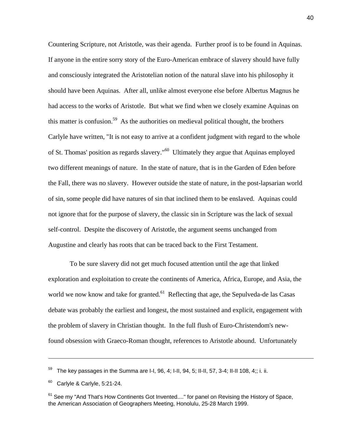Countering Scripture, not Aristotle, was their agenda. Further proof is to be found in Aquinas. If anyone in the entire sorry story of the Euro-American embrace of slavery should have fully and consciously integrated the Aristotelian notion of the natural slave into his philosophy it should have been Aquinas. After all, unlike almost everyone else before Albertus Magnus he had access to the works of Aristotle. But what we find when we closely examine Aquinas on this matter is confusion.<sup>59</sup> As the authorities on medieval political thought, the brothers Carlyle have written, "It is not easy to arrive at a confident judgment with regard to the whole of St. Thomas' position as regards slavery."[60](#page-40-1) Ultimately they argue that Aquinas employed two different meanings of nature. In the state of nature, that is in the Garden of Eden before the Fall, there was no slavery. However outside the state of nature, in the post-lapsarian world of sin, some people did have natures of sin that inclined them to be enslaved. Aquinas could not ignore that for the purpose of slavery, the classic sin in Scripture was the lack of sexual self-control. Despite the discovery of Aristotle, the argument seems unchanged from Augustine and clearly has roots that can be traced back to the First Testament.

 To be sure slavery did not get much focused attention until the age that linked exploration and exploitation to create the continents of America, Africa, Europe, and Asia, the world we now know and take for granted.<sup>61</sup> Reflecting that age, the Sepulveda-de las Casas debate was probably the earliest and longest, the most sustained and explicit, engagement with the problem of slavery in Christian thought. In the full flush of Euro-Christendom's newfound obsession with Graeco-Roman thought, references to Aristotle abound. Unfortunately

<span id="page-40-0"></span><sup>59</sup> The key passages in the Summa are I-I, 96, 4; I-II, 94, 5; II-II, 57, 3-4; II-II 108, 4;; i. ii.

<span id="page-40-1"></span> $60$  Carlyle & Carlyle, 5:21-24.

<span id="page-40-2"></span> $61$  See my "And That's How Continents Got Invented...." for panel on Revising the History of Space, the American Association of Geographers Meeting, Honolulu, 25-28 March 1999.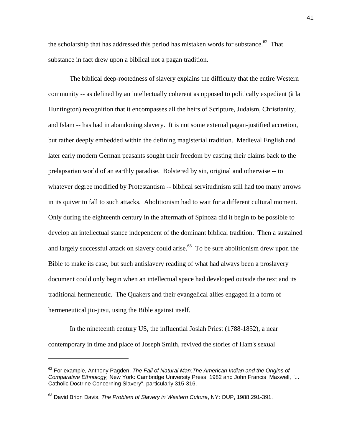the scholarship that has addressed this period has mistaken words for substance.<sup>62</sup> That substance in fact drew upon a biblical not a pagan tradition.

 The biblical deep-rootedness of slavery explains the difficulty that the entire Western community -- as defined by an intellectually coherent as opposed to politically expedient (à la Huntington) recognition that it encompasses all the heirs of Scripture, Judaism, Christianity, and Islam -- has had in abandoning slavery. It is not some external pagan-justified accretion, but rather deeply embedded within the defining magisterial tradition. Medieval English and later early modern German peasants sought their freedom by casting their claims back to the prelapsarian world of an earthly paradise. Bolstered by sin, original and otherwise -- to whatever degree modified by Protestantism -- biblical servitudinism still had too many arrows in its quiver to fall to such attacks. Abolitionism had to wait for a different cultural moment. Only during the eighteenth century in the aftermath of Spinoza did it begin to be possible to develop an intellectual stance independent of the dominant biblical tradition. Then a sustained and largely successful attack on slavery could arise.<sup>63</sup> To be sure abolitionism drew upon the Bible to make its case, but such antislavery reading of what had always been a proslavery document could only begin when an intellectual space had developed outside the text and its traditional hermeneutic. The Quakers and their evangelical allies engaged in a form of hermeneutical jiu-jitsu, using the Bible against itself.

 In the nineteenth century US, the influential Josiah Priest (1788-1852), a near contemporary in time and place of Joseph Smith, revived the stories of Ham's sexual

<span id="page-41-0"></span><sup>62</sup> For example, Anthony Pagden, *The Fall of Natural Man:The American Indian and the Origins of Comparative Ethnology,* New York: Cambridge University Press, 1982 and John Francis Maxwell, "... Catholic Doctrine Concerning Slavery", particularly 315-316.

<span id="page-41-1"></span><sup>63</sup> David Brion Davis, *The Problem of Slavery in Western Culture*, NY: OUP, 1988,291-391.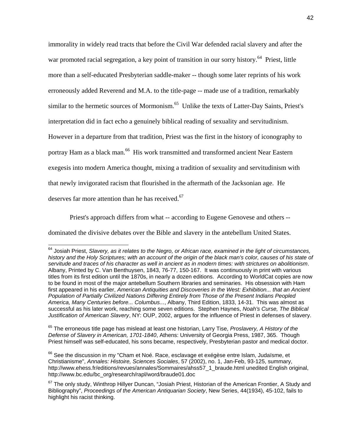immorality in widely read tracts that before the Civil War defended racial slavery and after the war promoted racial segregation, a key point of transition in our sorry history.<sup>64</sup> Priest, little more than a self-educated Presbyterian saddle-maker -- though some later reprints of his work erroneously added Reverend and M.A. to the title-page -- made use of a tradition, remarkably similar to the hermetic sources of Mormonism.<sup>65</sup> Unlike the texts of Latter-Day Saints, Priest's interpretation did in fact echo a genuinely biblical reading of sexuality and servitudinism. However in a departure from that tradition, Priest was the first in the history of iconography to portray Ham as a black man.<sup>66</sup> His work transmitted and transformed ancient Near Eastern exegesis into modern America thought, mixing a tradition of sexuality and servitudinism with that newly invigorated racism that flourished in the aftermath of the Jacksonian age. He deserves far more attention than he has received.<sup>67</sup>

 Priest's approach differs from what -- according to Eugene Genovese and others - dominated the divisive debates over the Bible and slavery in the antebellum United States.

 $\overline{\phantom{a}}$ 

<span id="page-42-1"></span>65 The erroneous title page has mislead at least one historian, Larry Tise, *Proslavery, A History of the Defense of Slavery in American, 1701-1840*, Athens: University of Georgia Press, 1987, 365. Though Priest himself was self-educated, his sons became, respectively, Presbyterian pastor and medical doctor.

<span id="page-42-2"></span><sup>66</sup> See the discussion in my "Cham et Noé. Race, esclavage et exégèse entre Islam, Judaïsme, et Christianisme", *Annales: Histoire, Sciences Sociales*, 57 (2002), no. 1, Jan-Feb, 93-125, summary, http://www.ehess.fr/editions/revues/annales/Sommaires/ahss57\_1\_braude.html unedited English original, http://www.bc.edu/bc\_org/research/rapl/word/braude01.doc

<span id="page-42-0"></span><sup>64</sup> Josiah Priest, *Slavery, as it relates to the Negro, or African race, examined in the light of circumstances,*  history and the Holy Scriptures; with an account of the origin of the black man's color, causes of his state of *servitude and traces of his character as well in ancient as in modern times: with strictures on abolitionism*. Albany, Printed by C. Van Benthuysen, 1843, 76-77, 150-167. It was continuously in print with various titles from its first edition until the 1870s, in nearly a dozen editions. According to WorldCat copies are now to be found in most of the major antebellum Southern libraries and seminaries. His obsession with Ham first appeared in his earlier, American Antiquities and Discoveries in the West: Exhibition... that an Ancient *Population of Partially Civilized Nations Differing Entirely from Those of the Present Indians Peopled America, Many Centuries before... Columbus...*, Albany, Third Edition, 1833, 14-31. This was almost as successful as his later work, reaching some seven editions. Stephen Haynes, *Noah's Curse, The Biblical Justification of American Slavery*, NY: OUP, 2002, argues for the influence of Priest in defenses of slavery.

<span id="page-42-3"></span><sup>&</sup>lt;sup>67</sup> The only study, Winthrop Hillyer Duncan, "Josiah Priest, Historian of the American Frontier, A Study and Bibliography", *Proceedings of the American Antiquarian Society*, New Series, 44(1934), 45-102, fails to highlight his racist thinking.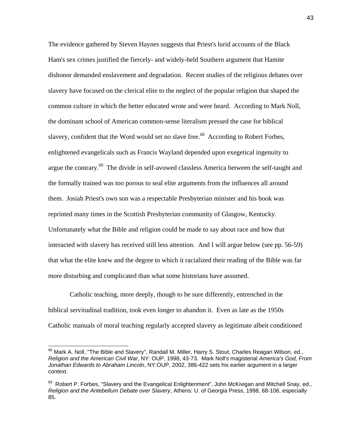The evidence gathered by Steven Haynes suggests that Priest's lurid accounts of the Black Ham's sex crimes justified the fiercely- and widely-held Southern argument that Hamite dishonor demanded enslavement and degradation. Recent studies of the religious debates over slavery have focused on the clerical elite to the neglect of the popular religion that shaped the common culture in which the better educated wrote and were heard. According to Mark Noll, the dominant school of American common-sense literalism pressed the case for biblical slavery, confident that the Word would set no slave free.<sup>68</sup> According to Robert Forbes, enlightened evangelicals such as Francis Wayland depended upon exegetical ingenuity to argue the contrary[.69](#page-43-1) The divide in self-avowed classless America between the self-taught and the formally trained was too porous to seal elite arguments from the influences all around them. Josiah Priest's own son was a respectable Presbyterian minister and his book was reprinted many times in the Scottish Presbyterian community of Glasgow, Kentucky. Unfortunately what the Bible and religion could be made to say about race and how that interacted with slavery has received still less attention. And I will argue below (see pp. 56-59) that what the elite knew and the degree to which it racialized their reading of the Bible was far more disturbing and complicated than what some historians have assumed.

 Catholic teaching, more deeply, though to be sure differently, entrenched in the biblical servitudinal tradition, took even longer to abandon it. Even as late as the 1950s Catholic manuals of moral teaching regularly accepted slavery as legitimate albeit conditioned

 $\overline{a}$ 

<span id="page-43-0"></span> $^{68}$  Mark A. Noll, "The Bible and Slavery", Randall M. Miller, Harry S. Stout, Charles Reagan Wilson, ed., *Religion and the American Civil War*, NY: OUP, 1998, 43-73. Mark Noll's magisterial *America's God, From Jonathan Edwards to Abraham Lincoln*, NY:OUP, 2002, 386-422 sets his earlier argument in a larger context.

<span id="page-43-1"></span><sup>69</sup> Robert P. Forbes, "Slavery and the Evangelical Enlightenment", John McKivigan and Mitchell Snay, ed., *Religion and the Antebellum Debate over Slavery*, Athens: U. of Georgia Press, 1998, 68-106, especially 85.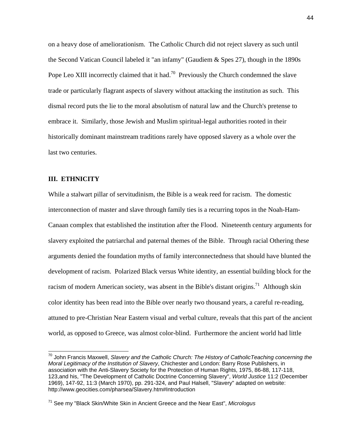on a heavy dose of ameliorationism. The Catholic Church did not reject slavery as such until the Second Vatican Council labeled it "an infamy" (Gaudiem & Spes 27), though in the 1890s Pope Leo XIII incorrectly claimed that it had.<sup>70</sup> Previously the Church condemned the slave trade or particularly flagrant aspects of slavery without attacking the institution as such. This dismal record puts the lie to the moral absolutism of natural law and the Church's pretense to embrace it. Similarly, those Jewish and Muslim spiritual-legal authorities rooted in their historically dominant mainstream traditions rarely have opposed slavery as a whole over the last two centuries.

#### **III. ETHNICITY**

While a stalwart pillar of servitudinism, the Bible is a weak reed for racism. The domestic interconnection of master and slave through family ties is a recurring topos in the Noah-Ham-Canaan complex that established the institution after the Flood. Nineteenth century arguments for slavery exploited the patriarchal and paternal themes of the Bible. Through racial Othering these arguments denied the foundation myths of family interconnectedness that should have blunted the development of racism. Polarized Black versus White identity, an essential building block for the racism of modern American society, was absent in the Bible's distant origins.<sup>71</sup> Although skin color identity has been read into the Bible over nearly two thousand years, a careful re-reading, attuned to pre-Christian Near Eastern visual and verbal culture, reveals that this part of the ancient world, as opposed to Greece, was almost color-blind. Furthermore the ancient world had little

<span id="page-44-0"></span><sup>70</sup> John Francis Maxwell, *Slavery and the Catholic Church: The History of CatholicTeaching concerning the Moral Legitimacy of the Institution of Slavery*, Chichester and London: Barry Rose Publishers, in association with the Anti-Slavery Society for the Protection of Human Rights, 1975, 86-88, 117-118, 123,and his, "The Development of Catholic Doctrine Concerning Slavery", *World Justice* 11:2 (December 1969), 147-92, 11:3 (March 1970), pp. 291-324, and Paul Halsell, "Slavery" adapted on website: http://www.geocities.com/pharsea/Slavery.htm#Introduction

<span id="page-44-1"></span><sup>71</sup> See my "Black Skin/White Skin in Ancient Greece and the Near East", *Micrologus*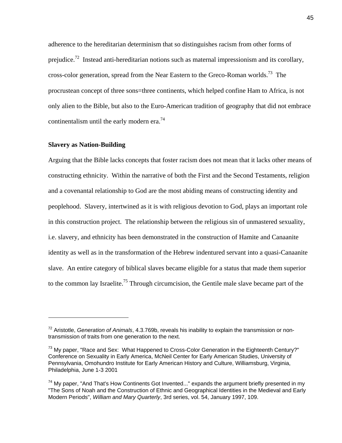adherence to the hereditarian determinism that so distinguishes racism from other forms of prejudice.<sup>72</sup> Instead anti-hereditarian notions such as maternal impressionism and its corollary, cross-color generation, spread from the Near Eastern to the Greco-Roman worlds.<sup>73</sup> The procrustean concept of three sons=three continents, which helped confine Ham to Africa, is not only alien to the Bible, but also to the Euro-American tradition of geography that did not embrace continentalism until the early modern era.<sup>74</sup>

## **Slavery as Nation-Building**

<span id="page-45-3"></span> $\overline{a}$ 

Arguing that the Bible lacks concepts that foster racism does not mean that it lacks other means of constructing ethnicity. Within the narrative of both the First and the Second Testaments, religion and a covenantal relationship to God are the most abiding means of constructing identity and peoplehood. Slavery, intertwined as it is with religious devotion to God, plays an important role in this construction project. The relationship between the religious sin of unmastered sexuality, i.e. slavery, and ethnicity has been demonstrated in the construction of Hamite and Canaanite identity as well as in the transformation of the Hebrew indentured servant into a quasi-Canaanite slave. An entire category of biblical slaves became eligible for a status that made them superior to the common lay Israelite.<sup>75</sup> Through circumcision, the Gentile male slave became part of the

<span id="page-45-0"></span><sup>72</sup> Aristotle, *Generation of Animals*, 4.3.769b, reveals his inability to explain the transmission or nontransmission of traits from one generation to the next.

<span id="page-45-1"></span> $73$  My paper, "Race and Sex: What Happened to Cross-Color Generation in the Eighteenth Century?" Conference on Sexuality in Early America, McNeil Center for Early American Studies, University of Pennsylvania, Omohundro Institute for Early American History and Culture, Williamsburg, Virginia, Philadelphia, June 1-3 2001

<span id="page-45-2"></span> $74$  My paper, "And That's How Continents Got Invented..." expands the argument briefly presented in my "The Sons of Noah and the Construction of Ethnic and Geographical Identities in the Medieval and Early Modern Periods", *William and Mary Quarterly*, 3rd series, vol. 54, January 1997, 109.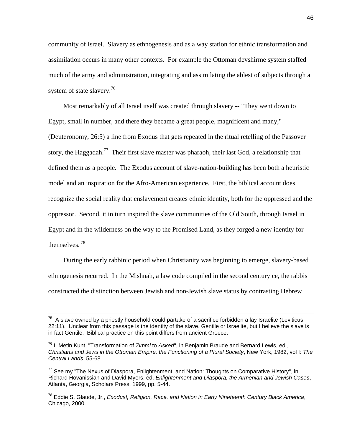community of Israel. Slavery as ethnogenesis and as a way station for ethnic transformation and assimilation occurs in many other contexts. For example the Ottoman devshirme system staffed much of the army and administration, integrating and assimilating the ablest of subjects through a system of state slavery.<sup>76</sup>

 Most remarkably of all Israel itself was created through slavery -- "They went down to Egypt, small in number, and there they became a great people, magnificent and many," (Deuteronomy, 26:5) a line from Exodus that gets repeated in the ritual retelling of the Passover story, the Haggadah.<sup>77</sup> Their first slave master was pharaoh, their last God, a relationship that defined them as a people. The Exodus account of slave-nation-building has been both a heuristic model and an inspiration for the Afro-American experience. First, the biblical account does recognize the social reality that enslavement creates ethnic identity, both for the oppressed and the oppressor. Second, it in turn inspired the slave communities of the Old South, through Israel in Egypt and in the wilderness on the way to the Promised Land, as they forged a new identity for themselves. [78](#page-46-2) 

 During the early rabbinic period when Christianity was beginning to emerge, slavery-based ethnogenesis recurred. In the Mishnah, a law code compiled in the second century ce, the rabbis constructed the distinction between Jewish and non-Jewish slave status by contrasting Hebrew

 $75$  A slave owned by a priestly household could partake of a sacrifice forbidden a lay Israelite (Leviticus 22:11). Unclear from this passage is the identity of the slave, Gentile or Israelite, but I believe the slave is in fact Gentile. Biblical practice on this point differs from ancient Greece.

<span id="page-46-0"></span><sup>76</sup> I. Metin Kunt, "Transformation of *Zimmi* to *Askeri*", in Benjamin Braude and Bernard Lewis, ed., *Christians and Jews in the Ottoman Empire, the Functioning of a Plural Society*, New York, 1982, vol I: *The Central Lands*, 55-68.

<span id="page-46-1"></span> $77$  See my "The Nexus of Diaspora, Enlightenment, and Nation: Thoughts on Comparative History", in Richard Hovanissian and David Myers, ed. *Enlightenment and Diaspora, the Armenian and Jewish Cases*, Atlanta, Georgia, Scholars Press, 1999, pp. 5-44.

<span id="page-46-2"></span><sup>78</sup> Eddie S. Glaude, Jr., *Exodus!, Religion, Race, and Nation in Early Nineteenth Century Black America*, Chicago, 2000.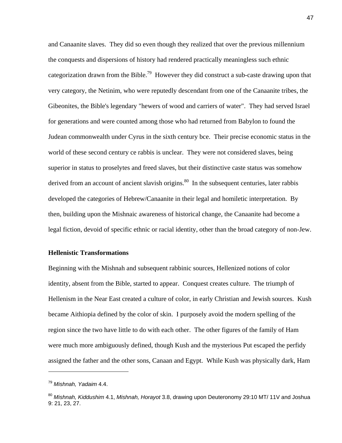and Canaanite slaves. They did so even though they realized that over the previous millennium the conquests and dispersions of history had rendered practically meaningless such ethnic categorization drawn from the Bible.<sup>79</sup> However they did construct a sub-caste drawing upon that very category, the Netinim, who were reputedly descendant from one of the Canaanite tribes, the Gibeonites, the Bible's legendary "hewers of wood and carriers of water". They had served Israel for generations and were counted among those who had returned from Babylon to found the Judean commonwealth under Cyrus in the sixth century bce. Their precise economic status in the world of these second century ce rabbis is unclear. They were not considered slaves, being superior in status to proselytes and freed slaves, but their distinctive caste status was somehow derived from an account of ancient slavish origins.<sup>80</sup> In the subsequent centuries, later rabbis developed the categories of Hebrew/Canaanite in their legal and homiletic interpretation. By then, building upon the Mishnaic awareness of historical change, the Canaanite had become a legal fiction, devoid of specific ethnic or racial identity, other than the broad category of non-Jew.

## **Hellenistic Transformations**

Beginning with the Mishnah and subsequent rabbinic sources, Hellenized notions of color identity, absent from the Bible, started to appear. Conquest creates culture. The triumph of Hellenism in the Near East created a culture of color, in early Christian and Jewish sources. Kush became Aithiopia defined by the color of skin. I purposely avoid the modern spelling of the region since the two have little to do with each other. The other figures of the family of Ham were much more ambiguously defined, though Kush and the mysterious Put escaped the perfidy assigned the father and the other sons, Canaan and Egypt. While Kush was physically dark, Ham

<span id="page-47-0"></span><sup>79</sup> *Mishnah, Yadaim* 4.4.

<span id="page-47-1"></span><sup>80</sup> *Mishnah, Kiddushim* 4.1, *Mishnah, Horayot* 3.8, drawing upon Deuteronomy 29:10 MT/ 11V and Joshua 9: 21, 23, 27.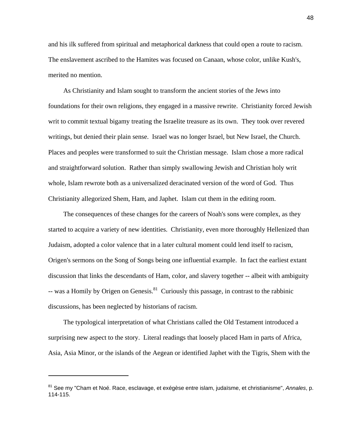and his ilk suffered from spiritual and metaphorical darkness that could open a route to racism. The enslavement ascribed to the Hamites was focused on Canaan, whose color, unlike Kush's, merited no mention.

 As Christianity and Islam sought to transform the ancient stories of the Jews into foundations for their own religions, they engaged in a massive rewrite. Christianity forced Jewish writ to commit textual bigamy treating the Israelite treasure as its own. They took over revered writings, but denied their plain sense. Israel was no longer Israel, but New Israel, the Church. Places and peoples were transformed to suit the Christian message. Islam chose a more radical and straightforward solution. Rather than simply swallowing Jewish and Christian holy writ whole, Islam rewrote both as a universalized deracinated version of the word of God. Thus Christianity allegorized Shem, Ham, and Japhet. Islam cut them in the editing room.

 The consequences of these changes for the careers of Noah's sons were complex, as they started to acquire a variety of new identities. Christianity, even more thoroughly Hellenized than Judaism, adopted a color valence that in a later cultural moment could lend itself to racism, Origen's sermons on the Song of Songs being one influential example. In fact the earliest extant discussion that links the descendants of Ham, color, and slavery together -- albeit with ambiguity  $-$  was a Homily by Origen on Genesis.<sup>81</sup> Curiously this passage, in contrast to the rabbinic discussions, has been neglected by historians of racism.

 The typological interpretation of what Christians called the Old Testament introduced a surprising new aspect to the story. Literal readings that loosely placed Ham in parts of Africa, Asia, Asia Minor, or the islands of the Aegean or identified Japhet with the Tigris, Shem with the

<span id="page-48-0"></span><sup>81</sup> See my "Cham et Noé. Race, esclavage, et exégèse entre islam, judaïsme, et christianisme", *Annales*, p. 114-115.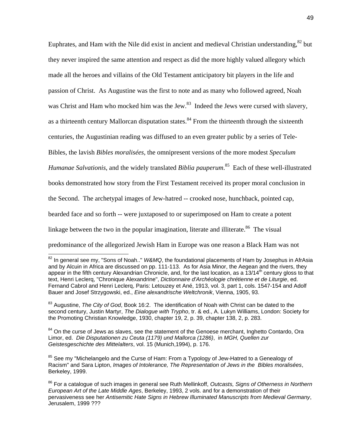Euphrates, and Ham with the Nile did exist in ancient and medieval Christian understanding, $82$  but they never inspired the same attention and respect as did the more highly valued allegory which made all the heroes and villains of the Old Testament anticipatory bit players in the life and passion of Christ. As Augustine was the first to note and as many who followed agreed, Noah was Christ and Ham who mocked him was the Jew.<sup>83</sup> Indeed the Jews were cursed with slavery, as a thirteenth century Mallorcan disputation states.<sup>84</sup> From the thirteenth through the sixteenth centuries, the Augustinian reading was diffused to an even greater public by a series of Tele-Bibles, the lavish *Bibles moralisées*, the omnipresent versions of the more modest *Speculum Humanae Salvationis*, and the widely translated *Biblia pauperum*. [85](#page-49-3) Each of these well-illustrated books demonstrated how story from the First Testament received its proper moral conclusion in the Second. The archetypal images of Jew-hatred -- crooked nose, hunchback, pointed cap, bearded face and so forth -- were juxtaposed to or superimposed on Ham to create a potent linkage between the two in the popular imagination, literate and illiterate.<sup>86</sup> The visual predominance of the allegorized Jewish Ham in Europe was one reason a Black Ham was not

<span id="page-49-2"></span><sup>84</sup> On the curse of Jews as slaves, see the statement of the Genoese merchant, Inghetto Contardo, Ora Limor, ed. *Die Disputationen zu Ceuta (1179) und Mallorca (1286)*, in *MGH, Quellen zur Geistesgeschichte des Mittelalters*, vol. 15 (Munich,1994), p. 176.

<span id="page-49-3"></span><sup>85</sup> See my "Michelangelo and the Curse of Ham: From a Typology of Jew-Hatred to a Genealogy of Racism" and Sara Lipton, *Images of Intolerance, The Representation of Jews in the Bibles moralisées*, Berkeley, 1999.

<span id="page-49-0"></span><sup>82</sup> In general see my, "Sons of Noah.." *W&MQ*, the foundational placements of Ham by Josephus in AfrAsia and by Alcuin in Africa are discussed on pp. 111-113. As for Asia Minor, the Aegean and the rivers, they appear in the fifth century Alexandrian Chronicle, and, for the last location, as a  $13/14<sup>th</sup>$  century gloss to that text, Henri Leclerq, "Chronique Alexandrine", *Dictionnaire d'Archéologie chrétienne et de Liturgie*, ed. Fernand Cabrol and Henri Leclerq, Paris: Letouzey et Ané, 1913, vol. 3, part 1, cols. 1547-154 and Adolf Bauer and Josef Strzygowski, ed., *Eine alexandrische Weltchronik*, Vienna, 1905, 93.

<span id="page-49-1"></span><sup>83</sup> Augustine, *The City of God*, Book 16:2. The identification of Noah with Christ can be dated to the second century, Justin Martyr, *The Dialogue with Trypho*, tr. & ed., A. Lukyn Williams, London: Society for the Promoting Christian Knowledge, 1930, chapter 19, 2, p. 39, chapter 138, 2, p. 283.

<span id="page-49-4"></span><sup>86</sup> For a catalogue of such images in general see Ruth Mellinkoff, *Outcasts, Signs of Otherness in Northern European Art of the Late Middle Ages*, Berkeley, 1993, 2 vols. and for a demonstration of their pervasiveness see her *Antisemitic Hate Signs in Hebrew Illuminated Manuscripts from Medieval Germany*, Jerusalem, 1999 ???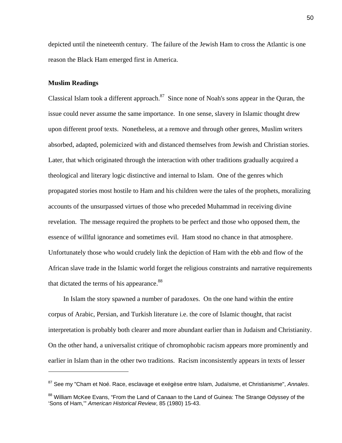depicted until the nineteenth century. The failure of the Jewish Ham to cross the Atlantic is one reason the Black Ham emerged first in America.

## **Muslim Readings**

Classical Islam took a different approach. $87$  Since none of Noah's sons appear in the Quran, the issue could never assume the same importance. In one sense, slavery in Islamic thought drew upon different proof texts. Nonetheless, at a remove and through other genres, Muslim writers absorbed, adapted, polemicized with and distanced themselves from Jewish and Christian stories. Later, that which originated through the interaction with other traditions gradually acquired a theological and literary logic distinctive and internal to Islam. One of the genres which propagated stories most hostile to Ham and his children were the tales of the prophets, moralizing accounts of the unsurpassed virtues of those who preceded Muhammad in receiving divine revelation. The message required the prophets to be perfect and those who opposed them, the essence of willful ignorance and sometimes evil. Ham stood no chance in that atmosphere. Unfortunately those who would crudely link the depiction of Ham with the ebb and flow of the African slave trade in the Islamic world forget the religious constraints and narrative requirements that dictated the terms of his appearance.<sup>[88](#page-50-1)</sup>

 In Islam the story spawned a number of paradoxes. On the one hand within the entire corpus of Arabic, Persian, and Turkish literature i.e. the core of Islamic thought, that racist interpretation is probably both clearer and more abundant earlier than in Judaism and Christianity. On the other hand, a universalist critique of chromophobic racism appears more prominently and earlier in Islam than in the other two traditions. Racism inconsistently appears in texts of lesser

<span id="page-50-0"></span><sup>87</sup> See my "Cham et Noé. Race, esclavage et exégèse entre Islam, Judaïsme, et Christianisme", *Annales*.

<span id="page-50-1"></span><sup>&</sup>lt;sup>88</sup> William McKee Evans, "From the Land of Canaan to the Land of Guinea: The Strange Odyssey of the 'Sons of Ham,'" *American Historical Review*, 85 (1980) 15-43.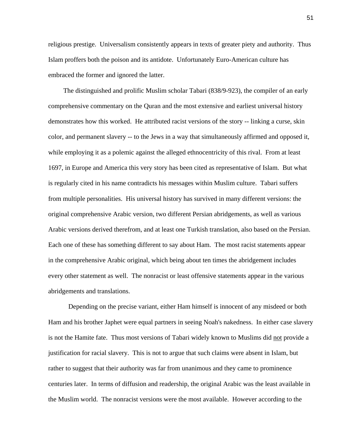religious prestige. Universalism consistently appears in texts of greater piety and authority. Thus Islam proffers both the poison and its antidote. Unfortunately Euro-American culture has embraced the former and ignored the latter.

 The distinguished and prolific Muslim scholar Tabari (838/9-923), the compiler of an early comprehensive commentary on the Quran and the most extensive and earliest universal history demonstrates how this worked. He attributed racist versions of the story -- linking a curse, skin color, and permanent slavery -- to the Jews in a way that simultaneously affirmed and opposed it, while employing it as a polemic against the alleged ethnocentricity of this rival. From at least 1697, in Europe and America this very story has been cited as representative of Islam. But what is regularly cited in his name contradicts his messages within Muslim culture. Tabari suffers from multiple personalities. His universal history has survived in many different versions: the original comprehensive Arabic version, two different Persian abridgements, as well as various Arabic versions derived therefrom, and at least one Turkish translation, also based on the Persian. Each one of these has something different to say about Ham. The most racist statements appear in the comprehensive Arabic original, which being about ten times the abridgement includes every other statement as well. The nonracist or least offensive statements appear in the various abridgements and translations.

 Depending on the precise variant, either Ham himself is innocent of any misdeed or both Ham and his brother Japhet were equal partners in seeing Noah's nakedness. In either case slavery is not the Hamite fate. Thus most versions of Tabari widely known to Muslims did not provide a justification for racial slavery. This is not to argue that such claims were absent in Islam, but rather to suggest that their authority was far from unanimous and they came to prominence centuries later. In terms of diffusion and readership, the original Arabic was the least available in the Muslim world. The nonracist versions were the most available. However according to the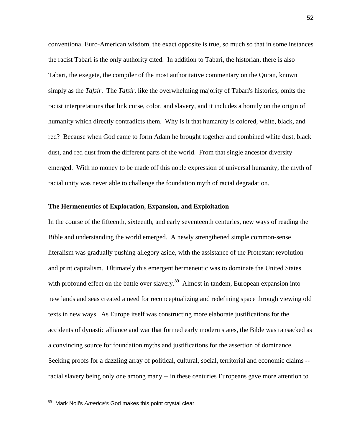conventional Euro-American wisdom, the exact opposite is true, so much so that in some instances the racist Tabari is the only authority cited. In addition to Tabari, the historian, there is also Tabari, the exegete, the compiler of the most authoritative commentary on the Quran, known simply as the *Tafsir*. The *Tafsir,* like the overwhelming majority of Tabari's histories, omits the racist interpretations that link curse, color. and slavery, and it includes a homily on the origin of humanity which directly contradicts them. Why is it that humanity is colored, white, black, and red? Because when God came to form Adam he brought together and combined white dust, black dust, and red dust from the different parts of the world. From that single ancestor diversity emerged. With no money to be made off this noble expression of universal humanity, the myth of racial unity was never able to challenge the foundation myth of racial degradation.

#### **The Hermeneutics of Exploration, Expansion, and Exploitation**

In the course of the fifteenth, sixteenth, and early seventeenth centuries, new ways of reading the Bible and understanding the world emerged. A newly strengthened simple common-sense literalism was gradually pushing allegory aside, with the assistance of the Protestant revolution and print capitalism. Ultimately this emergent hermeneutic was to dominate the United States with profound effect on the battle over slavery.<sup>89</sup> Almost in tandem, European expansion into new lands and seas created a need for reconceptualizing and redefining space through viewing old texts in new ways. As Europe itself was constructing more elaborate justifications for the accidents of dynastic alliance and war that formed early modern states, the Bible was ransacked as a convincing source for foundation myths and justifications for the assertion of dominance. Seeking proofs for a dazzling array of political, cultural, social, territorial and economic claims - racial slavery being only one among many -- in these centuries Europeans gave more attention to

<span id="page-52-0"></span><sup>89</sup> Mark Noll's *America's* God makes this point crystal clear.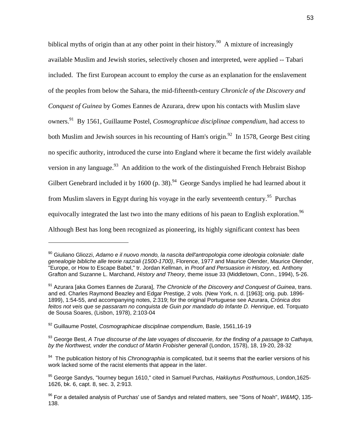biblical myths of origin than at any other point in their history.<sup>90</sup> A mixture of increasingly available Muslim and Jewish stories, selectively chosen and interpreted, were applied -- Tabari included. The first European account to employ the curse as an explanation for the enslavement of the peoples from below the Sahara, the mid-fifteenth-century *Chronicle of the Discovery and Conquest of Guinea* by Gomes Eannes de Azurara, drew upon his contacts with Muslim slave owners.[91](#page-53-1) By 1561, Guillaume Postel, *Cosmographicae disciplinae compendium*, had access to both Muslim and Jewish sources in his recounting of Ham's origin.<sup>92</sup> In 1578, George Best citing no specific authority, introduced the curse into England where it became the first widely available version in any language.<sup>93</sup> An addition to the work of the distinguished French Hebraist Bishop Gilbert Genebrard included it by 1600 (p. 38). <sup>94</sup> George Sandys implied he had learned about it from Muslim slavers in Egypt during his voyage in the early seventeenth century.<sup>95</sup> Purchas equivocally integrated the last two into the many editions of his paean to English exploration.<sup>96</sup> Although Best has long been recognized as pioneering, its highly significant context has been

<span id="page-53-0"></span><sup>90</sup> Giuliano Gliozzi, *Adamo e il nuovo mondo, la nascita dell'antropologia come ideologia coloniale: dalle genealogie bibliche alle teorie razziali (1500-1700)*, Florence, 1977 and Maurice Olender, Maurice Olender, "Europe, or How to Escape Babel," tr. Jordan Kellman, in *Proof and Persuasion in History*, ed. Anthony Grafton and Suzanne L. Marchand, *History and Theory*, theme issue 33 (Middletown, Conn., 1994), 5-26.

<span id="page-53-1"></span><sup>91</sup> Azurara [aka Gomes Eannes de Zurara], *The Chronicle of the Discovery and Conquest of Guinea*, trans. and ed. Charles Raymond Beazley and Edgar Prestige, 2 vols. (New York, n. d. [1963]; orig. pub. 1896- 1899), 1:54-55, and accompanying notes, 2:319; for the original Portuguese see Azurara, *Crónica dos feitos not veis que se passaram no conquista de Guin por mandado do Infante D. Henrique*, ed. Torquato de Sousa Soares, (Lisbon, 1978), 2:103-04

<span id="page-53-2"></span><sup>92</sup> Guillaume Postel, *Cosmographicae disciplinae compendium*, Basle, 1561,16-19

<span id="page-53-3"></span><sup>93</sup> George Best, *A True discourse of the late voyages of discouerie, for the finding of a passage to Cathaya, by the Northwest, vnder the conduct of Martin Frobisher generall* (London, 1578), 18, 19-20, 28-32

<span id="page-53-4"></span><sup>94</sup> The publication history of his *Chronographia* is complicated, but it seems that the earlier versions of his work lacked some of the racist elements that appear in the later.

<span id="page-53-5"></span><sup>95</sup> George Sandys, "Iourney begun 1610," cited in Samuel Purchas, *Hakluytus Posthumous*, London,1625- 1626, bk. 6, capt. 8, sec. 3, 2:913.

<span id="page-53-6"></span><sup>96</sup> For a detailed analysis of Purchas' use of Sandys and related matters, see "Sons of Noah", *W&MQ*, 135- 138.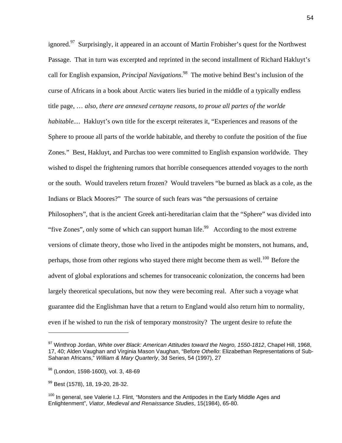ignored.<sup>97</sup> Surprisingly, it appeared in an account of Martin Frobisher's quest for the Northwest Passage. That in turn was excerpted and reprinted in the second installment of Richard Hakluyt's call for English expansion, *Principal Navigations*. [98](#page-54-1) The motive behind Best's inclusion of the curse of Africans in a book about Arctic waters lies buried in the middle of a typically endless title page, … *also, there are annexed certayne reasons, to proue all partes of the worlde habitable....* Hakluyt's own title for the excerpt reiterates it, "Experiences and reasons of the Sphere to prooue all parts of the worlde habitable, and thereby to confute the position of the fiue Zones." Best, Hakluyt, and Purchas too were committed to English expansion worldwide. They wished to dispel the frightening rumors that horrible consequences attended voyages to the north or the south. Would travelers return frozen? Would travelers "be burned as black as a cole, as the Indians or Black Moores?" The source of such fears was "the persuasions of certaine Philosophers", that is the ancient Greek anti-hereditarian claim that the "Sphere" was divided into "five Zones", only some of which can support human life. $99$  According to the most extreme versions of climate theory, those who lived in the antipodes might be monsters, not humans, and, perhaps, those from other regions who stayed there might become them as well.<sup>100</sup> Before the advent of global explorations and schemes for transoceanic colonization, the concerns had been largely theoretical speculations, but now they were becoming real. After such a voyage what guarantee did the Englishman have that a return to England would also return him to normality, even if he wished to run the risk of temporary monstrosity? The urgent desire to refute the

<span id="page-54-0"></span><sup>97</sup> Winthrop Jordan, *White over Black: American Attitudes toward the Negro, 1550-1812*, Chapel Hill, 1968, 17, 40; Alden Vaughan and Virginia Mason Vaughan, "Before *Othello*: Elizabethan Representations of Sub-Saharan Africans," *William & Mary Quarterly*, 3d Series, 54 (1997), 27

<span id="page-54-1"></span><sup>98 (</sup>London, 1598-1600), vol. 3, 48-69

<span id="page-54-2"></span><sup>99</sup> Best (1578), 18, 19-20, 28-32.

<span id="page-54-3"></span> $100$  In general, see Valerie I.J. Flint, "Monsters and the Antipodes in the Early Middle Ages and Enlightenment", *Viator, Medieval and Renaissance Studies*, 15(1984), 65-80.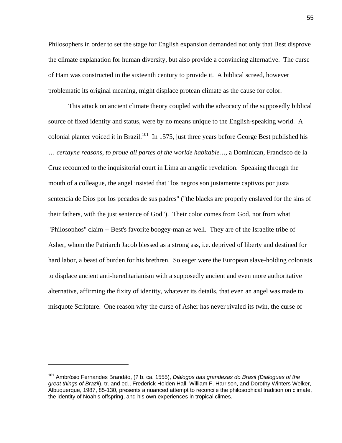Philosophers in order to set the stage for English expansion demanded not only that Best disprove the climate explanation for human diversity, but also provide a convincing alternative. The curse of Ham was constructed in the sixteenth century to provide it. A biblical screed, however problematic its original meaning, might displace protean climate as the cause for color.

 This attack on ancient climate theory coupled with the advocacy of the supposedly biblical source of fixed identity and status, were by no means unique to the English-speaking world. A colonial planter voiced it in Brazil.<sup>101</sup> In 1575, just three years before George Best published his … *certayne reasons, to proue all partes of the worlde habitable…*, a Dominican, Francisco de la Cruz recounted to the inquisitorial court in Lima an angelic revelation. Speaking through the mouth of a colleague, the angel insisted that "los negros son justamente captivos por justa sentencia de Dios por los pecados de sus padres" ("the blacks are properly enslaved for the sins of their fathers, with the just sentence of God"). Their color comes from God, not from what "Philosophos" claim -- Best's favorite boogey-man as well. They are of the Israelite tribe of Asher, whom the Patriarch Jacob blessed as a strong ass, i.e. deprived of liberty and destined for hard labor, a beast of burden for his brethren. So eager were the European slave-holding colonists to displace ancient anti-hereditarianism with a supposedly ancient and even more authoritative alternative, affirming the fixity of identity, whatever its details, that even an angel was made to misquote Scripture. One reason why the curse of Asher has never rivaled its twin, the curse of

 $\overline{a}$ 

<span id="page-55-0"></span><sup>101</sup> Ambrósio Fernandes Brandão, (? b. ca. 1555), *Diálogos das grandezas do Brasil (Dialogues of the great things of Brazil*), tr. and ed., Frederick Holden Hall, William F. Harrison, and Dorothy Winters Welker, Albuquerque, 1987, 85-130, presents a nuanced attempt to reconcile the philosophical tradition on climate, the identity of Noah's offspring, and his own experiences in tropical climes.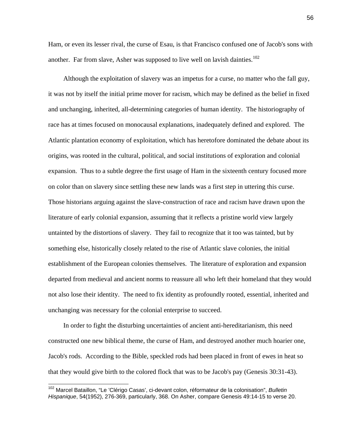Ham, or even its lesser rival, the curse of Esau, is that Francisco confused one of Jacob's sons with another. Far from slave, Asher was supposed to live well on lavish dainties.<sup>102</sup>

 Although the exploitation of slavery was an impetus for a curse, no matter who the fall guy, it was not by itself the initial prime mover for racism, which may be defined as the belief in fixed and unchanging, inherited, all-determining categories of human identity. The historiography of race has at times focused on monocausal explanations, inadequately defined and explored. The Atlantic plantation economy of exploitation, which has heretofore dominated the debate about its origins, was rooted in the cultural, political, and social institutions of exploration and colonial expansion. Thus to a subtle degree the first usage of Ham in the sixteenth century focused more on color than on slavery since settling these new lands was a first step in uttering this curse. Those historians arguing against the slave-construction of race and racism have drawn upon the literature of early colonial expansion, assuming that it reflects a pristine world view largely untainted by the distortions of slavery. They fail to recognize that it too was tainted, but by something else, historically closely related to the rise of Atlantic slave colonies, the initial establishment of the European colonies themselves. The literature of exploration and expansion departed from medieval and ancient norms to reassure all who left their homeland that they would not also lose their identity. The need to fix identity as profoundly rooted, essential, inherited and unchanging was necessary for the colonial enterprise to succeed.

 In order to fight the disturbing uncertainties of ancient anti-hereditarianism, this need constructed one new biblical theme, the curse of Ham, and destroyed another much hoarier one, Jacob's rods. According to the Bible, speckled rods had been placed in front of ewes in heat so that they would give birth to the colored flock that was to be Jacob's pay (Genesis 30:31-43).

 $\overline{a}$ 

<span id="page-56-0"></span><sup>102</sup> Marcel Bataillon, "Le 'Clérigo Casas', ci-devant colon, réformateur de la colonisation", *Bulletin Hispanique*, 54(1952), 276-369, particularly, 368. On Asher, compare Genesis 49:14-15 to verse 20.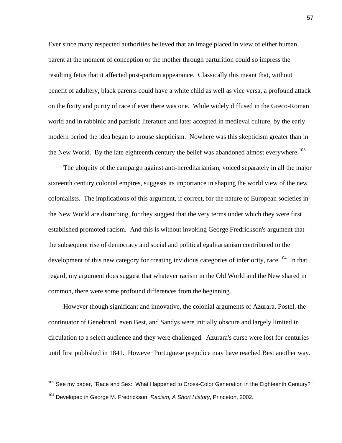Ever since many respected authorities believed that an image placed in view of either human parent at the moment of conception or the mother through parturition could so impress the resulting fetus that it affected post-partum appearance. Classically this meant that, without benefit of adultery, black parents could have a white child as well as vice versa, a profound attack on the fixity and purity of race if ever there was one. While widely diffused in the Greco-Roman world and in rabbinic and patristic literature and later accepted in medieval culture, by the early modern period the idea began to arouse skepticism. Nowhere was this skepticism greater than in the New World. By the late eighteenth century the belief was abandoned almost everywhere.<sup>103</sup>

 The ubiquity of the campaign against anti-hereditarianism, voiced separately in all the major sixteenth century colonial empires, suggests its importance in shaping the world view of the new colonialists. The implications of this argument, if correct, for the nature of European societies in the New World are disturbing, for they suggest that the very terms under which they were first established promoted racism. And this is without invoking George Fredrickson's argument that the subsequent rise of democracy and social and political egalitarianism contributed to the development of this new category for creating invidious categories of inferiority, race.<sup>104</sup> In that regard, my argument does suggest that whatever racism in the Old World and the New shared in common, there were some profound differences from the beginning.

 However though significant and innovative, the colonial arguments of Azurara, Postel, the continuator of Genebrard, even Best, and Sandys were initially obscure and largely limited in circulation to a select audience and they were challenged. Azurara's curse were lost for centuries until first published in 1841. However Portuguese prejudice may have reached Best another way.

<span id="page-57-1"></span><span id="page-57-0"></span><sup>&</sup>lt;sup>103</sup> See my paper, "Race and Sex: What Happened to Cross-Color Generation in the Eighteenth Century?" 104 Developed in George M. Fredrickson, *Racism, A Short History*, Princeton, 2002.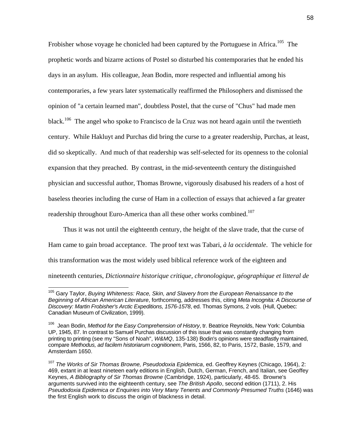Frobisher whose voyage he chonicled had been captured by the Portuguese in Africa.<sup>105</sup> The prophetic words and bizarre actions of Postel so disturbed his contemporaries that he ended his days in an asylum. His colleague, Jean Bodin, more respected and influential among his contemporaries, a few years later systematically reaffirmed the Philosophers and dismissed the opinion of "a certain learned man", doubtless Postel, that the curse of "Chus" had made men black.<sup>106</sup> The angel who spoke to Francisco de la Cruz was not heard again until the twentieth century. While Hakluyt and Purchas did bring the curse to a greater readership, Purchas, at least, did so skeptically. And much of that readership was self-selected for its openness to the colonial expansion that they preached. By contrast, in the mid-seventeenth century the distinguished physician and successful author, Thomas Browne, vigorously disabused his readers of a host of baseless theories including the curse of Ham in a collection of essays that achieved a far greater readership throughout Euro-America than all these other works combined.<sup>107</sup>

 Thus it was not until the eighteenth century, the height of the slave trade, that the curse of Ham came to gain broad acceptance. The proof text was Tabari, *à la occidentale*. The vehicle for this transformation was the most widely used biblical reference work of the eighteen and nineteenth centuries, *Dictionnaire historique critique, chronologique, géographique et litteral de* 

 $\overline{a}$ 

<span id="page-58-0"></span><sup>105</sup> Gary Taylor, *Buying Whiteness: Race, Skin, and Slavery from the European Renaissance to the Beginning of African American Literature*, forthcoming, addresses this, citing *Meta Incognita: A Discourse of Discovery: Martin Frobisher's Arctic Expeditions, 1576-1578*, ed. Thomas Symons, 2 vols. (Hull, Quebec: Canadian Museum of Civilization, 1999).

<span id="page-58-1"></span><sup>106</sup> Jean Bodin, *Method for the Easy Comprehension of History*, tr. Beatrice Reynolds, New York: Columbia UP, 1945, 87. In contrast to Samuel Purchas discussion of this issue that was constantly changing from printing to printing (see my "Sons of Noah", *W&MQ*, 135-138) Bodin's opinions were steadfastly maintained, compare *Methodus, ad facilem historiarum cognitionem*, Paris, 1566, 82, to Paris, 1572, Basle, 1579, and Amsterdam 1650.

<span id="page-58-2"></span><sup>107</sup> *The Works of Sir Thomas Browne, Pseudodoxia Epidemica*, ed. Geoffrey Keynes (Chicago, 1964), 2: 469, extant in at least nineteen early editions in English, Dutch, German, French, and Italian, see Geoffey Keynes, *A Bibliography of Sir Thomas Browne* (Cambridge, 1924), particularly, 48-65. Browne's arguments survived into the eighteenth century, see *The British Apollo*, second edition (1711), 2. His *Pseudodoxia Epidemica or Enquiries into Very Many Tenents and Commonly Presumed Truths* (1646) was the first English work to discuss the origin of blackness in detail.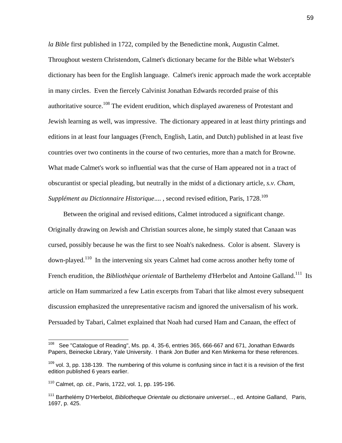*la Bible* first published in 1722, compiled by the Benedictine monk, Augustin Calmet. Throughout western Christendom, Calmet's dictionary became for the Bible what Webster's dictionary has been for the English language. Calmet's irenic approach made the work acceptable in many circles. Even the fiercely Calvinist Jonathan Edwards recorded praise of this authoritative source.<sup>108</sup> The evident erudition, which displayed awareness of Protestant and Jewish learning as well, was impressive. The dictionary appeared in at least thirty printings and editions in at least four languages (French, English, Latin, and Dutch) published in at least five countries over two continents in the course of two centuries, more than a match for Browne. What made Calmet's work so influential was that the curse of Ham appeared not in a tract of obscurantist or special pleading, but neutrally in the midst of a dictionary article, *s.v. Cham*, *Supplément au Dictionnaire Historique....*, second revised edition, Paris, 1728.<sup>[109](#page-59-1)</sup>

 Between the original and revised editions, Calmet introduced a significant change. Originally drawing on Jewish and Christian sources alone, he simply stated that Canaan was cursed, possibly because he was the first to see Noah's nakedness. Color is absent. Slavery is down-played[.110](#page-59-2) In the intervening six years Calmet had come across another hefty tome of French erudition, the *Bibliothèque orientale* of Barthelemy d'Herbelot and Antoine Galland.<sup>111</sup> Its article on Ham summarized a few Latin excerpts from Tabari that like almost every subsequent discussion emphasized the unrepresentative racism and ignored the universalism of his work. Persuaded by Tabari, Calmet explained that Noah had cursed Ham and Canaan, the effect of

<span id="page-59-0"></span>See "Catalogue of Reading", Ms. pp. 4, 35-6, entries 365, 666-667 and 671, Jonathan Edwards Papers, Beinecke Library, Yale University. I thank Jon Butler and Ken Minkema for these references.

<span id="page-59-1"></span> $109$  vol. 3, pp. 138-139. The numbering of this volume is confusing since in fact it is a revision of the first edition published 6 years earlier.

<span id="page-59-2"></span><sup>110</sup> Calmet, *op. cit.*, Paris, 1722, vol. 1, pp. 195-196.

<span id="page-59-3"></span><sup>111</sup> Barthelémy D'Herbelot, *Bibliotheque Orientale ou dictionaire universel...*, ed. Antoine Galland, Paris, 1697, p. 425.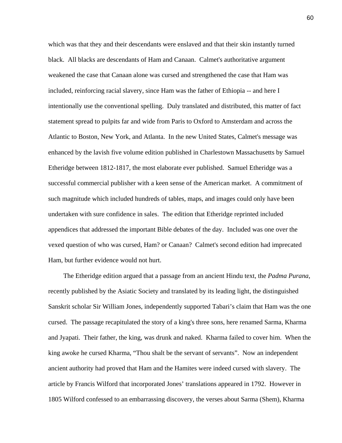which was that they and their descendants were enslaved and that their skin instantly turned black. All blacks are descendants of Ham and Canaan. Calmet's authoritative argument weakened the case that Canaan alone was cursed and strengthened the case that Ham was included, reinforcing racial slavery, since Ham was the father of Ethiopia -- and here I intentionally use the conventional spelling. Duly translated and distributed, this matter of fact statement spread to pulpits far and wide from Paris to Oxford to Amsterdam and across the Atlantic to Boston, New York, and Atlanta. In the new United States, Calmet's message was enhanced by the lavish five volume edition published in Charlestown Massachusetts by Samuel Etheridge between 1812-1817, the most elaborate ever published. Samuel Etheridge was a successful commercial publisher with a keen sense of the American market. A commitment of such magnitude which included hundreds of tables, maps, and images could only have been undertaken with sure confidence in sales. The edition that Etheridge reprinted included appendices that addressed the important Bible debates of the day. Included was one over the vexed question of who was cursed, Ham? or Canaan? Calmet's second edition had imprecated Ham, but further evidence would not hurt.

 The Etheridge edition argued that a passage from an ancient Hindu text, the *Padma Purana*, recently published by the Asiatic Society and translated by its leading light, the distinguished Sanskrit scholar Sir William Jones, independently supported Tabari's claim that Ham was the one cursed. The passage recapitulated the story of a king's three sons, here renamed Sarma, Kharma and Jyapati. Their father, the king, was drunk and naked. Kharma failed to cover him. When the king awoke he cursed Kharma, "Thou shalt be the servant of servants". Now an independent ancient authority had proved that Ham and the Hamites were indeed cursed with slavery. The article by Francis Wilford that incorporated Jones' translations appeared in 1792. However in 1805 Wilford confessed to an embarrassing discovery, the verses about Sarma (Shem), Kharma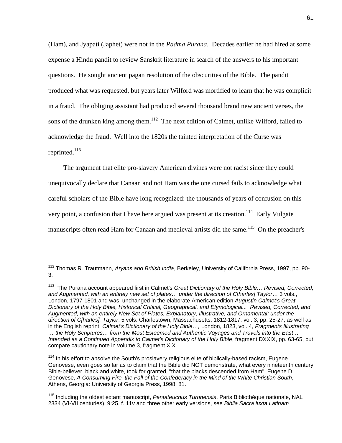<span id="page-61-3"></span>(Ham), and Jyapati (Japhet) were not in the *Padma Purana*. Decades earlier he had hired at some expense a Hindu pandit to review Sanskrit literature in search of the answers to his important questions. He sought ancient pagan resolution of the obscurities of the Bible. The pandit produced what was requested, but years later Wilford was mortified to learn that he was complicit in a fraud. The obliging assistant had produced several thousand brand new ancient verses, the sons of the drunken king among them.<sup>112</sup> The next edition of Calmet, unlike Wilford, failed to acknowledge the fraud. Well into the 1820s the tainted interpretation of the Curse was reprinted. $^{113}$ 

 The argument that elite pro-slavery American divines were not racist since they could unequivocally declare that Canaan and not Ham was the one cursed fails to acknowledge what careful scholars of the Bible have long recognized: the thousands of years of confusion on this very point, a confusion that I have here argued was present at its creation.<sup>114</sup> Early Vulgate manuscripts often read Ham for Canaan and medieval artists did the same.<sup>115</sup> On the preacher's

<span id="page-61-0"></span><sup>112</sup> Thomas R. Trautmann, *Aryans and British India*, Berkeley, University of California Press, 1997, pp. 90- 3.

<span id="page-61-1"></span><sup>113</sup> The Purana account appeared first in Calmet's *Great Dictionary of the Holy Bible… Revised, Corrected, and Augmented, with an entirely new set of plates… under the direction of C[harles] Taylor*… 3 vols., London, 1797-1801 and was unchanged in the elaborate American edition *Augustin Calmet's Great Dictionary of the Holy Bible, Historical Critical, Geographical, and Etymological... Revised, Corrected, and Augmented, with an entirely New Set of Plates, Explanatory, Illustrative, and Ornamental; under the direction of C[harles]. Taylor*, 5 vols. Charlestown, Massachusetts, 1812-1817, vol. 3, pp. 25-27, as well as in the English reprint, *Calmet's Dictionary of the Holy Bible…,* London, 1823, vol. 4, *Fragments Illustrating … the Holy Scriptures… from the Most Esteemed and Authentic Voyages and Travels into the East… Intended as a Continued Appendix to Calmet's Dictionary of the Holy Bible*, fragment DXXIX, pp. 63-65, but compare cautionary note in volume 3, fragment XIX.

<span id="page-61-2"></span><sup>&</sup>lt;sup>114</sup> In his effort to absolve the South's proslavery religious elite of biblically-based racism, Eugene Genovese, even goes so far as to claim that the Bible did NOT demonstrate, what every nineteenth century Bible-believer, black and white, took for granted, "that the blacks descended from Ham", Eugene D. Genovese, *A Consuming Fire, the Fall of the Confederacy in the Mind of the White Christian South*, Athens, Georgia: University of Georgia Press, 1998, 81.

<sup>115</sup> Including the oldest extant manuscript, *Pentateuchus Turonensis*, Paris Bibliothéque nationale, NAL 2334 (VI-VII centuries), 9:25, f. 11v and three other early versions, see *Biblia Sacra iuxta Latinam*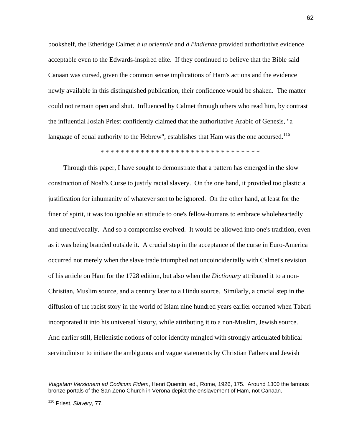bookshelf, the Etheridge Calmet *à la orientale* and *à l'indienne* provided authoritative evidence acceptable even to the Edwards-inspired elite. If they continued to believe that the Bible said Canaan was cursed, given the common sense implications of Ham's actions and the evidence newly available in this distinguished publication, their confidence would be shaken. The matter could not remain open and shut. Influenced by Calmet through others who read him, by contrast the influential Josiah Priest confidently claimed that the authoritative Arabic of Genesis, "a language of equal authority to the Hebrew", establishes that Ham was the one accursed.<sup>116</sup>

\* \* \* \* \* \* \* \* \* \* \* \* \* \* \* \* \* \* \* \* \* \* \* \* \* \* \* \* \* \* \* \*

 Through this paper, I have sought to demonstrate that a pattern has emerged in the slow construction of Noah's Curse to justify racial slavery. On the one hand, it provided too plastic a justification for inhumanity of whatever sort to be ignored. On the other hand, at least for the finer of spirit, it was too ignoble an attitude to one's fellow-humans to embrace wholeheartedly and unequivocally. And so a compromise evolved. It would be allowed into one's tradition, even as it was being branded outside it. A crucial step in the acceptance of the curse in Euro-America occurred not merely when the slave trade triumphed not uncoincidentally with Calmet's revision of his article on Ham for the 1728 edition, but also when the *Dictionary* attributed it to a non-Christian, Muslim source, and a century later to a Hindu source. Similarly, a crucial step in the diffusion of the racist story in the world of Islam nine hundred years earlier occurred when Tabari incorporated it into his universal history, while attributing it to a non-Muslim, Jewish source. And earlier still, Hellenistic notions of color identity mingled with strongly articulated biblical servitudinism to initiate the ambiguous and vague statements by Christian Fathers and Jewish

*Vulgatam Versionem ad Codicum Fidem*, Henri Quentin, ed., Rome, 1926, 175. Around 1300 the famous bronze portals of the San Zeno Church in Verona depict the enslavement of Ham, not Canaan.

<span id="page-62-0"></span><sup>116</sup> Priest, *Slavery,* 77.